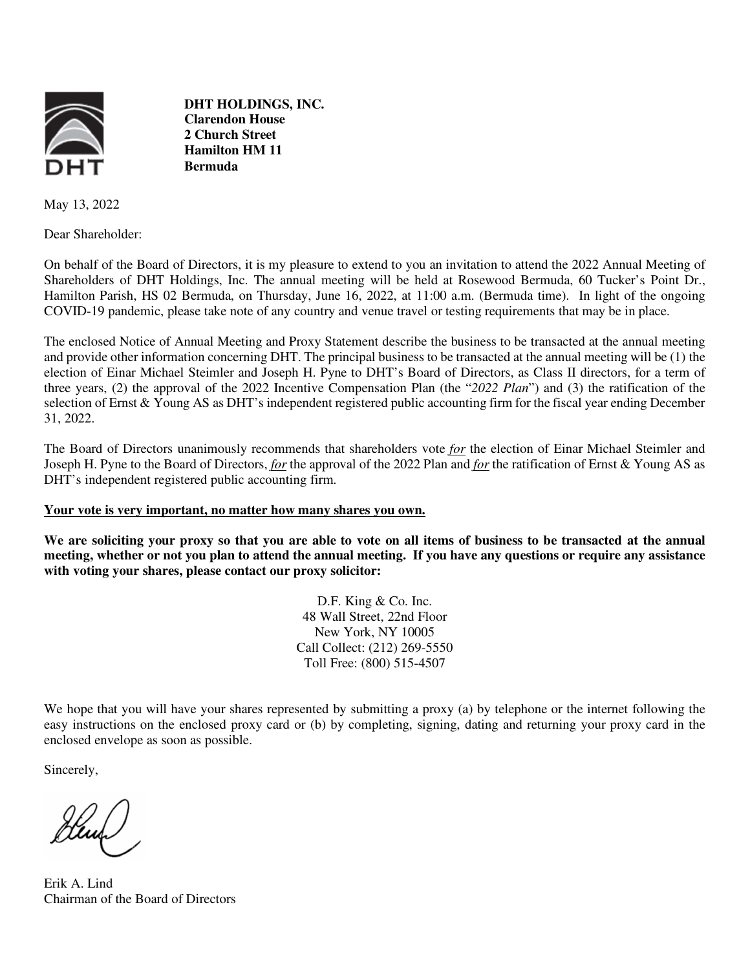

**DHT HOLDINGS, INC. Clarendon House 2 Church Street Hamilton HM 11 Bermuda** 

May 13, 2022

Dear Shareholder:

On behalf of the Board of Directors, it is my pleasure to extend to you an invitation to attend the 2022 Annual Meeting of Shareholders of DHT Holdings, Inc. The annual meeting will be held at Rosewood Bermuda, 60 Tucker's Point Dr., Hamilton Parish, HS 02 Bermuda, on Thursday, June 16, 2022, at 11:00 a.m. (Bermuda time). In light of the ongoing COVID-19 pandemic, please take note of any country and venue travel or testing requirements that may be in place.

The enclosed Notice of Annual Meeting and Proxy Statement describe the business to be transacted at the annual meeting and provide other information concerning DHT. The principal business to be transacted at the annual meeting will be (1) the election of Einar Michael Steimler and Joseph H. Pyne to DHT's Board of Directors, as Class II directors, for a term of three years, (2) the approval of the 2022 Incentive Compensation Plan (the "*2022 Plan*") and (3) the ratification of the selection of Ernst & Young AS as DHT's independent registered public accounting firm for the fiscal year ending December 31, 2022.

The Board of Directors unanimously recommends that shareholders vote *for* the election of Einar Michael Steimler and Joseph H. Pyne to the Board of Directors, *for* the approval of the 2022 Plan and *for* the ratification of Ernst & Young AS as DHT's independent registered public accounting firm.

#### **Your vote is very important, no matter how many shares you own.**

**We are soliciting your proxy so that you are able to vote on all items of business to be transacted at the annual meeting, whether or not you plan to attend the annual meeting. If you have any questions or require any assistance with voting your shares, please contact our proxy solicitor:** 

> D.F. King & Co. Inc. 48 Wall Street, 22nd Floor New York, NY 10005 Call Collect: (212) 269-5550 Toll Free: (800) 515-4507

We hope that you will have your shares represented by submitting a proxy (a) by telephone or the internet following the easy instructions on the enclosed proxy card or (b) by completing, signing, dating and returning your proxy card in the enclosed envelope as soon as possible.

Sincerely,

Henry

Erik A. Lind Chairman of the Board of Directors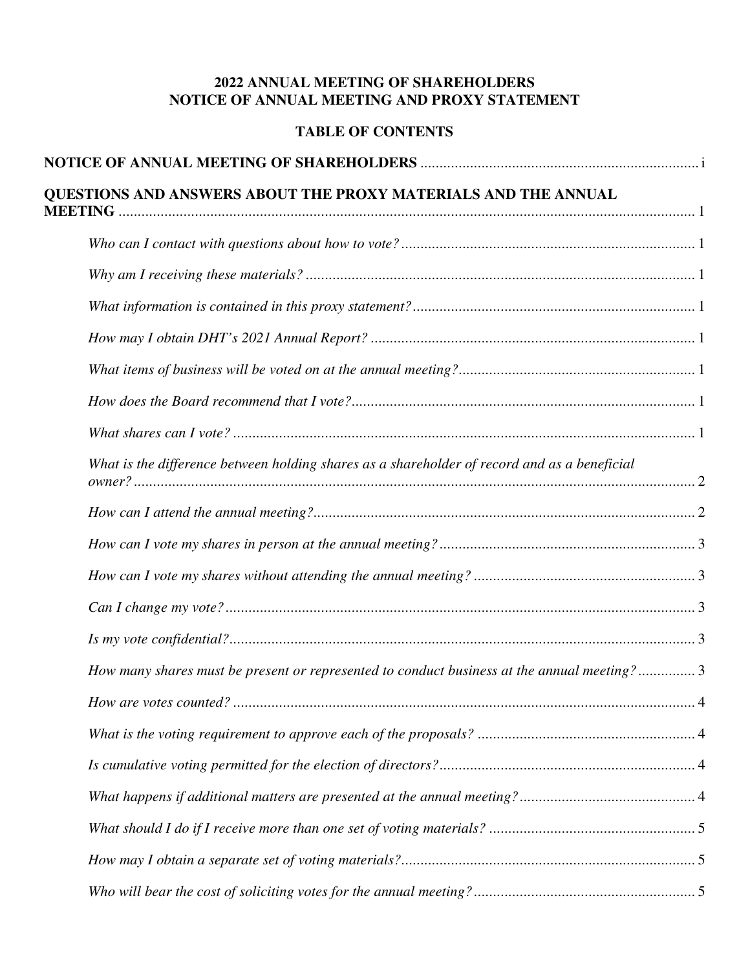# **2022 ANNUAL MEETING OF SHAREHOLDERS NOTICE OF ANNUAL MEETING AND PROXY STATEMENT**

# **TABLE OF CONTENTS**

| QUESTIONS AND ANSWERS ABOUT THE PROXY MATERIALS AND THE ANNUAL                               |
|----------------------------------------------------------------------------------------------|
|                                                                                              |
|                                                                                              |
|                                                                                              |
|                                                                                              |
|                                                                                              |
|                                                                                              |
|                                                                                              |
| What is the difference between holding shares as a shareholder of record and as a beneficial |
|                                                                                              |
|                                                                                              |
|                                                                                              |
|                                                                                              |
|                                                                                              |
| How many shares must be present or represented to conduct business at the annual meeting?3   |
|                                                                                              |
|                                                                                              |
|                                                                                              |
|                                                                                              |
|                                                                                              |
|                                                                                              |
|                                                                                              |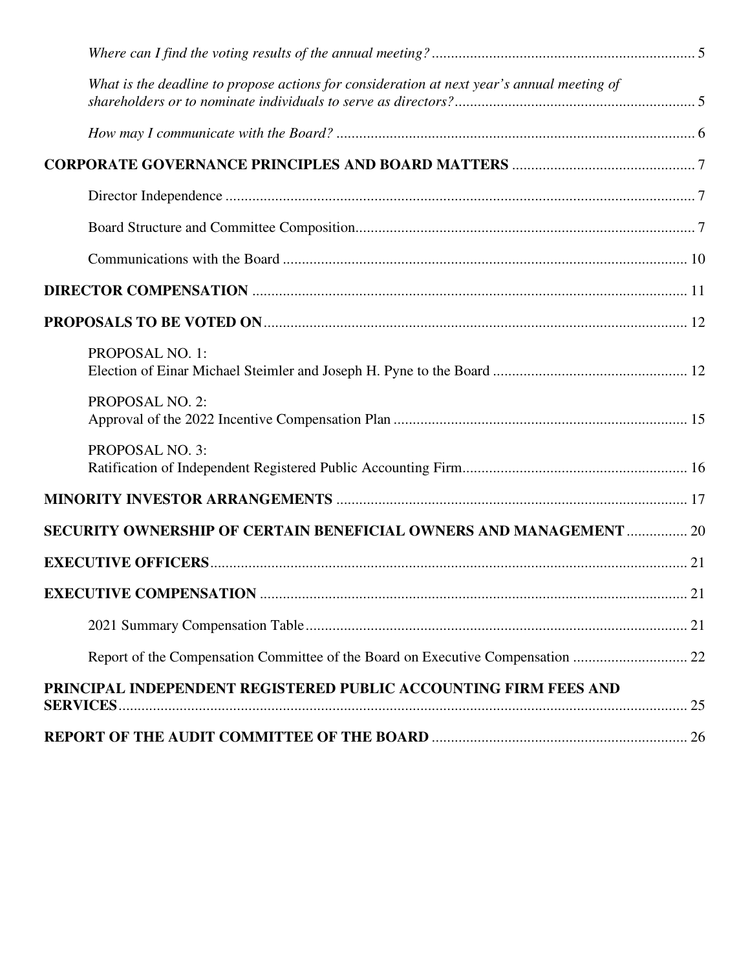| What is the deadline to propose actions for consideration at next year's annual meeting of |  |
|--------------------------------------------------------------------------------------------|--|
|                                                                                            |  |
|                                                                                            |  |
|                                                                                            |  |
|                                                                                            |  |
|                                                                                            |  |
|                                                                                            |  |
|                                                                                            |  |
| PROPOSAL NO. 1:                                                                            |  |
| PROPOSAL NO. 2:                                                                            |  |
| PROPOSAL NO. 3:                                                                            |  |
|                                                                                            |  |
| SECURITY OWNERSHIP OF CERTAIN BENEFICIAL OWNERS AND MANAGEMENT  20                         |  |
|                                                                                            |  |
|                                                                                            |  |
|                                                                                            |  |
| Report of the Compensation Committee of the Board on Executive Compensation  22            |  |
| PRINCIPAL INDEPENDENT REGISTERED PUBLIC ACCOUNTING FIRM FEES AND                           |  |
|                                                                                            |  |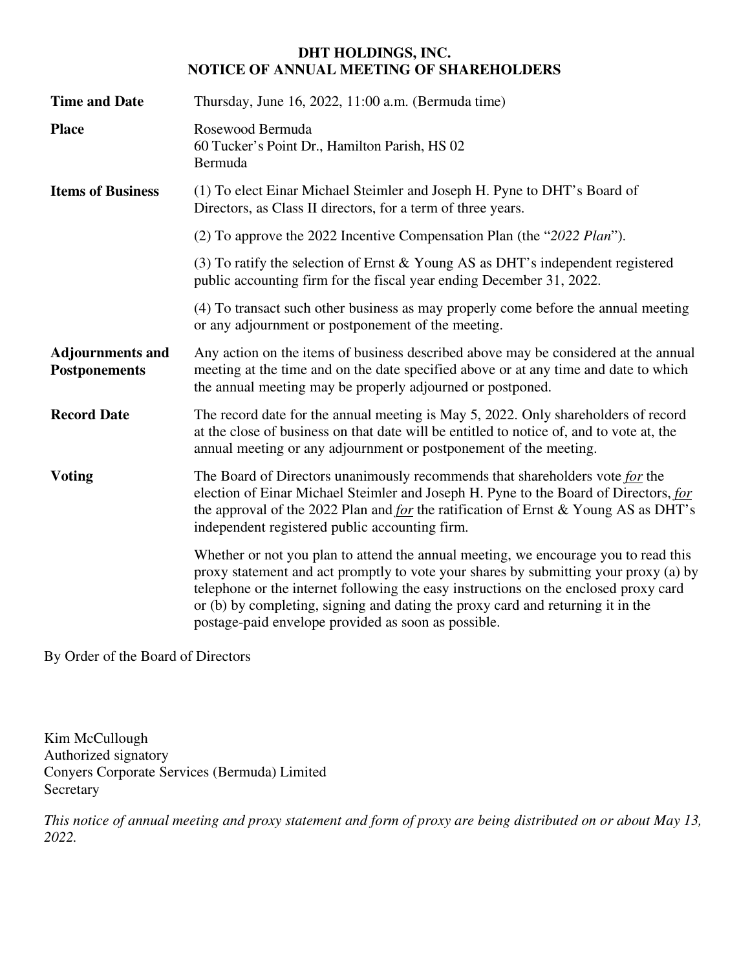## **DHT HOLDINGS, INC. NOTICE OF ANNUAL MEETING OF SHAREHOLDERS**

| <b>Time and Date</b>                            | Thursday, June 16, 2022, 11:00 a.m. (Bermuda time)                                                                                                                                                                                                                                                                                                                                                            |
|-------------------------------------------------|---------------------------------------------------------------------------------------------------------------------------------------------------------------------------------------------------------------------------------------------------------------------------------------------------------------------------------------------------------------------------------------------------------------|
| <b>Place</b>                                    | Rosewood Bermuda<br>60 Tucker's Point Dr., Hamilton Parish, HS 02<br>Bermuda                                                                                                                                                                                                                                                                                                                                  |
| <b>Items of Business</b>                        | (1) To elect Einar Michael Steimler and Joseph H. Pyne to DHT's Board of<br>Directors, as Class II directors, for a term of three years.                                                                                                                                                                                                                                                                      |
|                                                 | (2) To approve the 2022 Incentive Compensation Plan (the "2022 Plan").                                                                                                                                                                                                                                                                                                                                        |
|                                                 | (3) To ratify the selection of Ernst $&$ Young AS as DHT's independent registered<br>public accounting firm for the fiscal year ending December 31, 2022.                                                                                                                                                                                                                                                     |
|                                                 | (4) To transact such other business as may properly come before the annual meeting<br>or any adjournment or postponement of the meeting.                                                                                                                                                                                                                                                                      |
| <b>Adjournments and</b><br><b>Postponements</b> | Any action on the items of business described above may be considered at the annual<br>meeting at the time and on the date specified above or at any time and date to which<br>the annual meeting may be properly adjourned or postponed.                                                                                                                                                                     |
| <b>Record Date</b>                              | The record date for the annual meeting is May 5, 2022. Only shareholders of record<br>at the close of business on that date will be entitled to notice of, and to vote at, the<br>annual meeting or any adjournment or postponement of the meeting.                                                                                                                                                           |
| <b>Voting</b>                                   | The Board of Directors unanimously recommends that shareholders vote for the<br>election of Einar Michael Steimler and Joseph H. Pyne to the Board of Directors, for<br>the approval of the 2022 Plan and <i>for</i> the ratification of Ernst & Young AS as DHT's<br>independent registered public accounting firm.                                                                                          |
|                                                 | Whether or not you plan to attend the annual meeting, we encourage you to read this<br>proxy statement and act promptly to vote your shares by submitting your proxy (a) by<br>telephone or the internet following the easy instructions on the enclosed proxy card<br>or (b) by completing, signing and dating the proxy card and returning it in the<br>postage-paid envelope provided as soon as possible. |

By Order of the Board of Directors

Kim McCullough Authorized signatory Conyers Corporate Services (Bermuda) Limited Secretary

*This notice of annual meeting and proxy statement and form of proxy are being distributed on or about May 13, 2022.*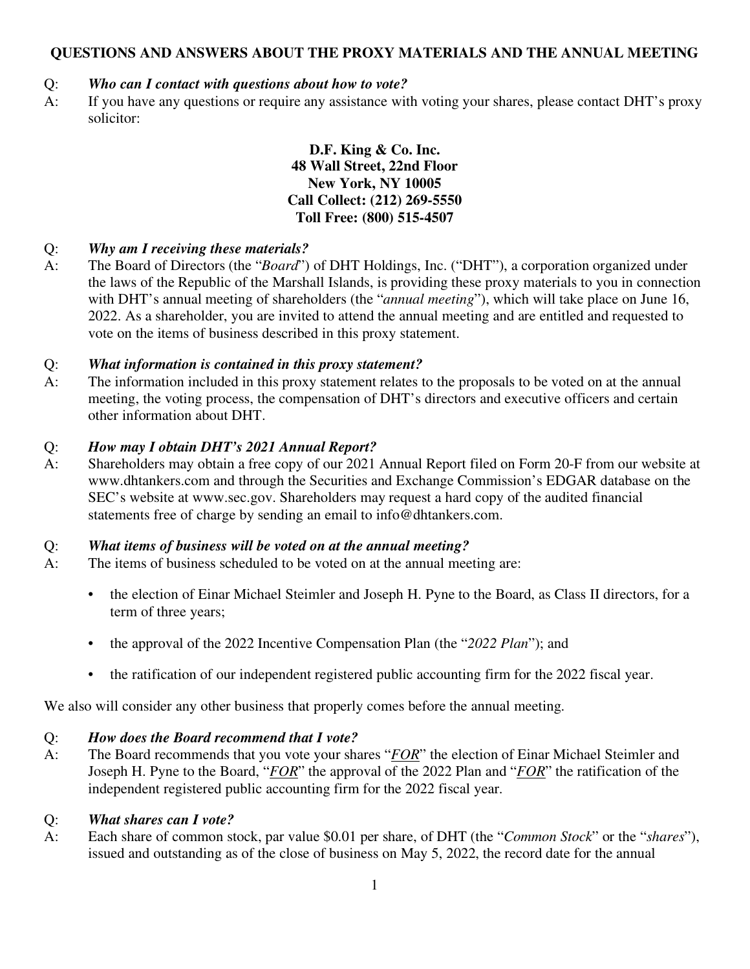# **QUESTIONS AND ANSWERS ABOUT THE PROXY MATERIALS AND THE ANNUAL MEETING**

# Q: *Who can I contact with questions about how to vote?*

A: If you have any questions or require any assistance with voting your shares, please contact DHT's proxy solicitor:

> **D.F. King & Co. Inc. 48 Wall Street, 22nd Floor New York, NY 10005 Call Collect: (212) 269-5550 Toll Free: (800) 515-4507**

## Q: *Why am I receiving these materials?*

A: The Board of Directors (the "*Board*") of DHT Holdings, Inc. ("DHT"), a corporation organized under the laws of the Republic of the Marshall Islands, is providing these proxy materials to you in connection with DHT's annual meeting of shareholders (the "*annual meeting*"), which will take place on June 16, 2022. As a shareholder, you are invited to attend the annual meeting and are entitled and requested to vote on the items of business described in this proxy statement.

## Q: *What information is contained in this proxy statement?*

A: The information included in this proxy statement relates to the proposals to be voted on at the annual meeting, the voting process, the compensation of DHT's directors and executive officers and certain other information about DHT.

## Q: *How may I obtain DHT's 2021 Annual Report?*

A: Shareholders may obtain a free copy of our 2021 Annual Report filed on Form 20-F from our website at www.dhtankers.com and through the Securities and Exchange Commission's EDGAR database on the SEC's website at www.sec.gov. Shareholders may request a hard copy of the audited financial statements free of charge by sending an email to info@dhtankers.com.

## Q: *What items of business will be voted on at the annual meeting?*

- A: The items of business scheduled to be voted on at the annual meeting are:
	- the election of Einar Michael Steimler and Joseph H. Pyne to the Board, as Class II directors, for a term of three years;
	- the approval of the 2022 Incentive Compensation Plan (the "*2022 Plan*"); and
	- the ratification of our independent registered public accounting firm for the 2022 fiscal year.

We also will consider any other business that properly comes before the annual meeting.

## Q: *How does the Board recommend that I vote?*

A: The Board recommends that you vote your shares "*FOR*" the election of Einar Michael Steimler and Joseph H. Pyne to the Board, "*FOR*" the approval of the 2022 Plan and "*FOR*" the ratification of the independent registered public accounting firm for the 2022 fiscal year.

### Q: *What shares can I vote?*

A: Each share of common stock, par value \$0.01 per share, of DHT (the "*Common Stock*" or the "*shares*"), issued and outstanding as of the close of business on May 5, 2022, the record date for the annual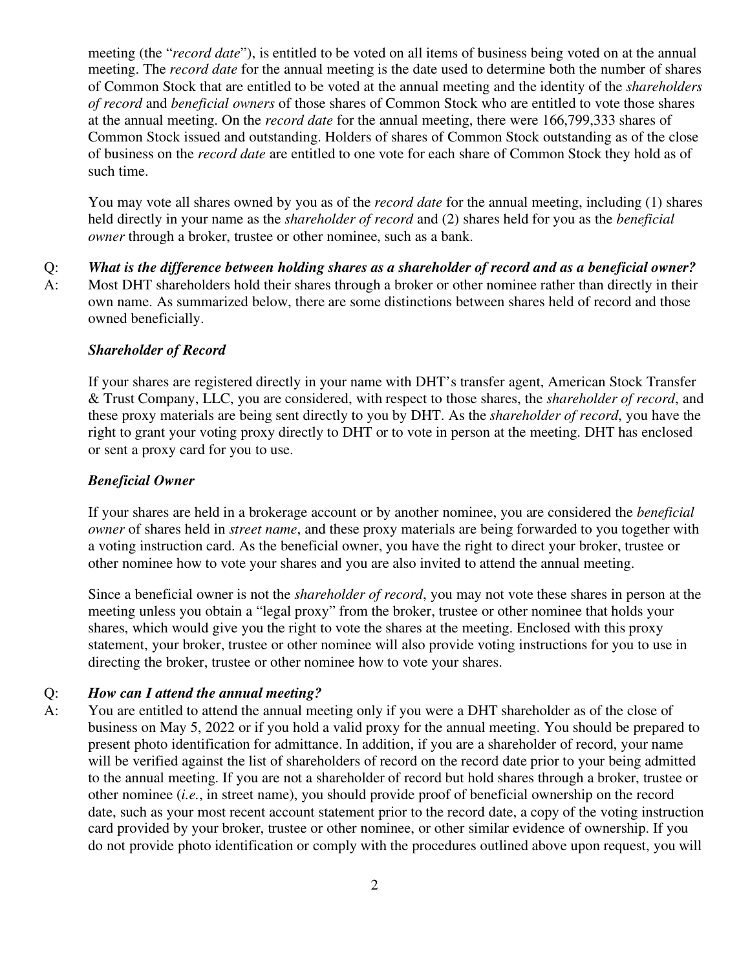meeting (the "*record date*"), is entitled to be voted on all items of business being voted on at the annual meeting. The *record date* for the annual meeting is the date used to determine both the number of shares of Common Stock that are entitled to be voted at the annual meeting and the identity of the *shareholders of record* and *beneficial owners* of those shares of Common Stock who are entitled to vote those shares at the annual meeting. On the *record date* for the annual meeting, there were 166,799,333 shares of Common Stock issued and outstanding. Holders of shares of Common Stock outstanding as of the close of business on the *record date* are entitled to one vote for each share of Common Stock they hold as of such time.

You may vote all shares owned by you as of the *record date* for the annual meeting, including (1) shares held directly in your name as the *shareholder of record* and (2) shares held for you as the *beneficial owner* through a broker, trustee or other nominee, such as a bank.

Q: *What is the difference between holding shares as a shareholder of record and as a beneficial owner?* A: Most DHT shareholders hold their shares through a broker or other nominee rather than directly in their own name. As summarized below, there are some distinctions between shares held of record and those owned beneficially.

### *Shareholder of Record*

If your shares are registered directly in your name with DHT's transfer agent, American Stock Transfer & Trust Company, LLC, you are considered, with respect to those shares, the *shareholder of record*, and these proxy materials are being sent directly to you by DHT. As the *shareholder of record*, you have the right to grant your voting proxy directly to DHT or to vote in person at the meeting. DHT has enclosed or sent a proxy card for you to use.

### *Beneficial Owner*

If your shares are held in a brokerage account or by another nominee, you are considered the *beneficial owner* of shares held in *street name*, and these proxy materials are being forwarded to you together with a voting instruction card. As the beneficial owner, you have the right to direct your broker, trustee or other nominee how to vote your shares and you are also invited to attend the annual meeting.

Since a beneficial owner is not the *shareholder of record*, you may not vote these shares in person at the meeting unless you obtain a "legal proxy" from the broker, trustee or other nominee that holds your shares, which would give you the right to vote the shares at the meeting. Enclosed with this proxy statement, your broker, trustee or other nominee will also provide voting instructions for you to use in directing the broker, trustee or other nominee how to vote your shares.

### Q: *How can I attend the annual meeting?*

A: You are entitled to attend the annual meeting only if you were a DHT shareholder as of the close of business on May 5, 2022 or if you hold a valid proxy for the annual meeting. You should be prepared to present photo identification for admittance. In addition, if you are a shareholder of record, your name will be verified against the list of shareholders of record on the record date prior to your being admitted to the annual meeting. If you are not a shareholder of record but hold shares through a broker, trustee or other nominee (*i.e.*, in street name), you should provide proof of beneficial ownership on the record date, such as your most recent account statement prior to the record date, a copy of the voting instruction card provided by your broker, trustee or other nominee, or other similar evidence of ownership. If you do not provide photo identification or comply with the procedures outlined above upon request, you will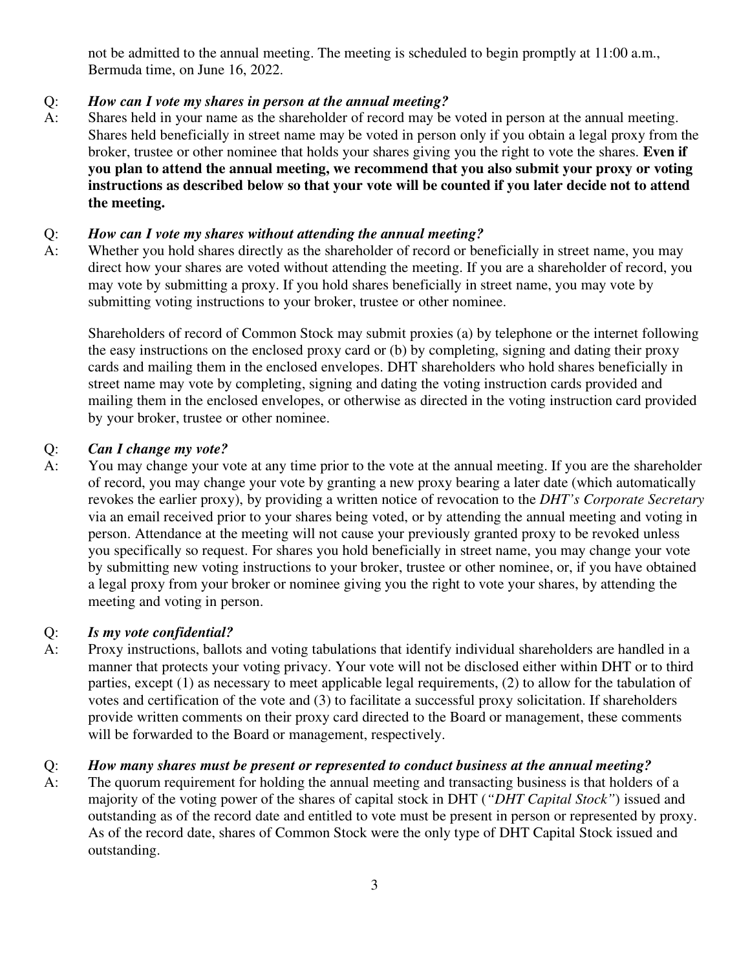not be admitted to the annual meeting. The meeting is scheduled to begin promptly at 11:00 a.m., Bermuda time, on June 16, 2022.

## Q: *How can I vote my shares in person at the annual meeting?*

A: Shares held in your name as the shareholder of record may be voted in person at the annual meeting. Shares held beneficially in street name may be voted in person only if you obtain a legal proxy from the broker, trustee or other nominee that holds your shares giving you the right to vote the shares. **Even if you plan to attend the annual meeting, we recommend that you also submit your proxy or voting instructions as described below so that your vote will be counted if you later decide not to attend the meeting.**

### Q: *How can I vote my shares without attending the annual meeting?*

A: Whether you hold shares directly as the shareholder of record or beneficially in street name, you may direct how your shares are voted without attending the meeting. If you are a shareholder of record, you may vote by submitting a proxy. If you hold shares beneficially in street name, you may vote by submitting voting instructions to your broker, trustee or other nominee.

Shareholders of record of Common Stock may submit proxies (a) by telephone or the internet following the easy instructions on the enclosed proxy card or (b) by completing, signing and dating their proxy cards and mailing them in the enclosed envelopes. DHT shareholders who hold shares beneficially in street name may vote by completing, signing and dating the voting instruction cards provided and mailing them in the enclosed envelopes, or otherwise as directed in the voting instruction card provided by your broker, trustee or other nominee.

#### Q: *Can I change my vote?*

A: You may change your vote at any time prior to the vote at the annual meeting. If you are the shareholder of record, you may change your vote by granting a new proxy bearing a later date (which automatically revokes the earlier proxy), by providing a written notice of revocation to the *DHT's Corporate Secretary*  via an email received prior to your shares being voted, or by attending the annual meeting and voting in person. Attendance at the meeting will not cause your previously granted proxy to be revoked unless you specifically so request. For shares you hold beneficially in street name, you may change your vote by submitting new voting instructions to your broker, trustee or other nominee, or, if you have obtained a legal proxy from your broker or nominee giving you the right to vote your shares, by attending the meeting and voting in person.

### Q: *Is my vote confidential?*

A: Proxy instructions, ballots and voting tabulations that identify individual shareholders are handled in a manner that protects your voting privacy. Your vote will not be disclosed either within DHT or to third parties, except (1) as necessary to meet applicable legal requirements, (2) to allow for the tabulation of votes and certification of the vote and (3) to facilitate a successful proxy solicitation. If shareholders provide written comments on their proxy card directed to the Board or management, these comments will be forwarded to the Board or management, respectively.

### Q: *How many shares must be present or represented to conduct business at the annual meeting?*

A: The quorum requirement for holding the annual meeting and transacting business is that holders of a majority of the voting power of the shares of capital stock in DHT (*"DHT Capital Stock"*) issued and outstanding as of the record date and entitled to vote must be present in person or represented by proxy. As of the record date, shares of Common Stock were the only type of DHT Capital Stock issued and outstanding.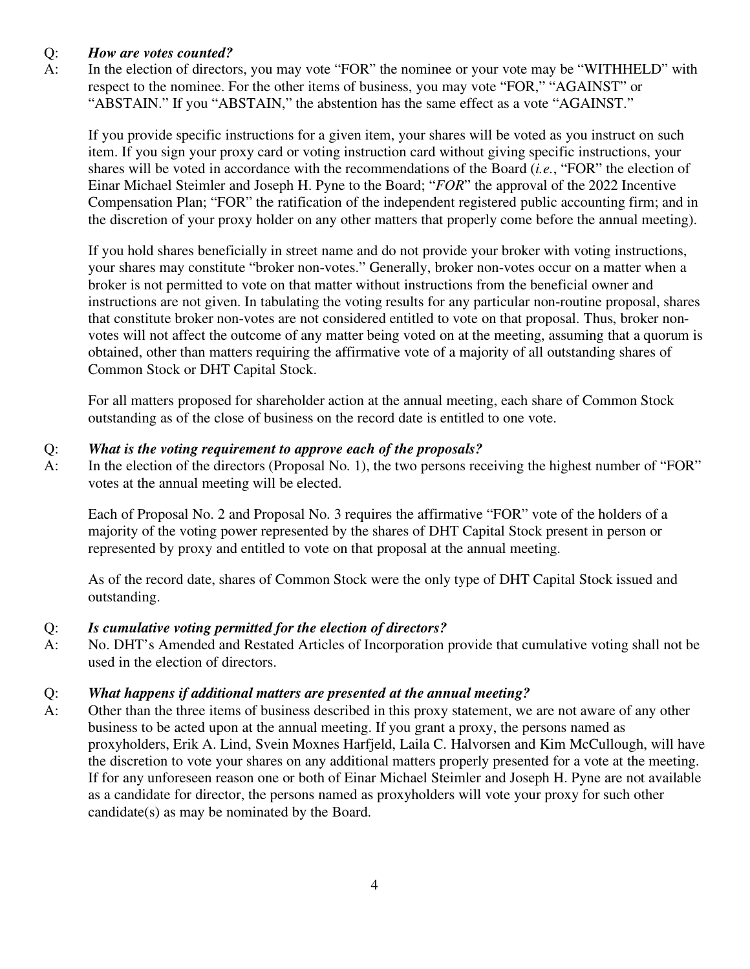## Q: *How are votes counted?*

A: In the election of directors, you may vote "FOR" the nominee or your vote may be "WITHHELD" with respect to the nominee. For the other items of business, you may vote "FOR," "AGAINST" or "ABSTAIN." If you "ABSTAIN," the abstention has the same effect as a vote "AGAINST."

If you provide specific instructions for a given item, your shares will be voted as you instruct on such item. If you sign your proxy card or voting instruction card without giving specific instructions, your shares will be voted in accordance with the recommendations of the Board (*i.e.*, "FOR" the election of Einar Michael Steimler and Joseph H. Pyne to the Board; "*FOR*" the approval of the 2022 Incentive Compensation Plan; "FOR" the ratification of the independent registered public accounting firm; and in the discretion of your proxy holder on any other matters that properly come before the annual meeting).

If you hold shares beneficially in street name and do not provide your broker with voting instructions, your shares may constitute "broker non-votes." Generally, broker non-votes occur on a matter when a broker is not permitted to vote on that matter without instructions from the beneficial owner and instructions are not given. In tabulating the voting results for any particular non-routine proposal, shares that constitute broker non-votes are not considered entitled to vote on that proposal. Thus, broker nonvotes will not affect the outcome of any matter being voted on at the meeting, assuming that a quorum is obtained, other than matters requiring the affirmative vote of a majority of all outstanding shares of Common Stock or DHT Capital Stock.

For all matters proposed for shareholder action at the annual meeting, each share of Common Stock outstanding as of the close of business on the record date is entitled to one vote.

### Q: *What is the voting requirement to approve each of the proposals?*

A: In the election of the directors (Proposal No. 1), the two persons receiving the highest number of "FOR" votes at the annual meeting will be elected.

Each of Proposal No. 2 and Proposal No. 3 requires the affirmative "FOR" vote of the holders of a majority of the voting power represented by the shares of DHT Capital Stock present in person or represented by proxy and entitled to vote on that proposal at the annual meeting.

As of the record date, shares of Common Stock were the only type of DHT Capital Stock issued and outstanding.

## Q: *Is cumulative voting permitted for the election of directors?*

A: No. DHT's Amended and Restated Articles of Incorporation provide that cumulative voting shall not be used in the election of directors.

### Q: *What happens if additional matters are presented at the annual meeting?*

A: Other than the three items of business described in this proxy statement, we are not aware of any other business to be acted upon at the annual meeting. If you grant a proxy, the persons named as proxyholders, Erik A. Lind, Svein Moxnes Harfjeld, Laila C. Halvorsen and Kim McCullough, will have the discretion to vote your shares on any additional matters properly presented for a vote at the meeting. If for any unforeseen reason one or both of Einar Michael Steimler and Joseph H. Pyne are not available as a candidate for director, the persons named as proxyholders will vote your proxy for such other candidate(s) as may be nominated by the Board.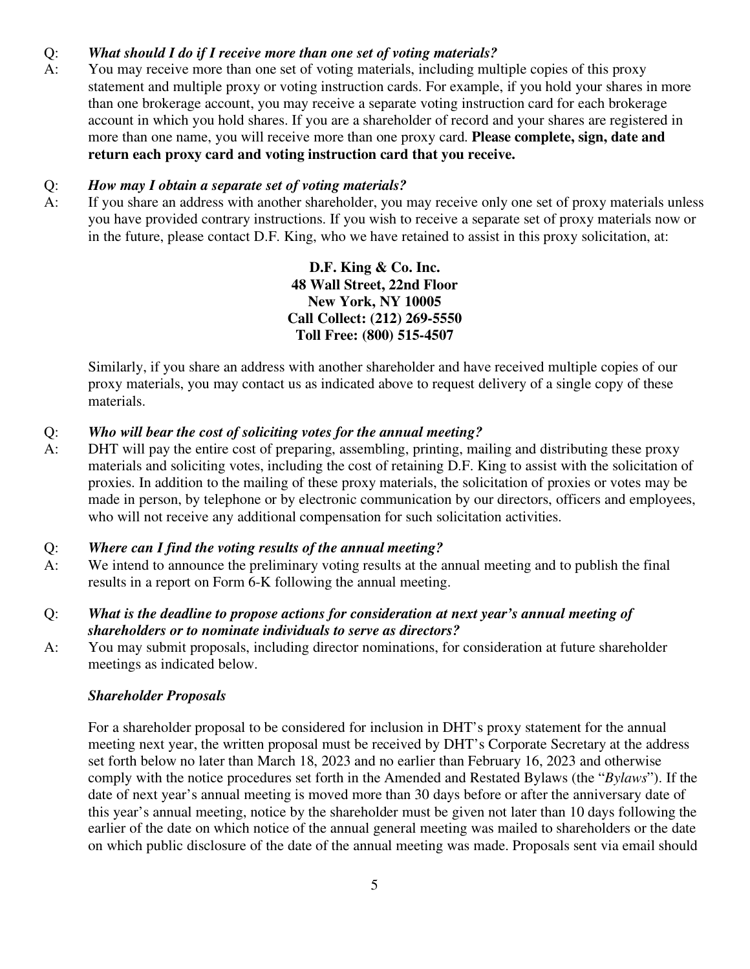## Q: *What should I do if I receive more than one set of voting materials?*

A: You may receive more than one set of voting materials, including multiple copies of this proxy statement and multiple proxy or voting instruction cards. For example, if you hold your shares in more than one brokerage account, you may receive a separate voting instruction card for each brokerage account in which you hold shares. If you are a shareholder of record and your shares are registered in more than one name, you will receive more than one proxy card. **Please complete, sign, date and return each proxy card and voting instruction card that you receive.**

#### Q: *How may I obtain a separate set of voting materials?*

A: If you share an address with another shareholder, you may receive only one set of proxy materials unless you have provided contrary instructions. If you wish to receive a separate set of proxy materials now or in the future, please contact D.F. King, who we have retained to assist in this proxy solicitation, at:

> **D.F. King & Co. Inc. 48 Wall Street, 22nd Floor New York, NY 10005 Call Collect: (212) 269-5550 Toll Free: (800) 515-4507**

Similarly, if you share an address with another shareholder and have received multiple copies of our proxy materials, you may contact us as indicated above to request delivery of a single copy of these materials.

## Q: *Who will bear the cost of soliciting votes for the annual meeting?*

A: DHT will pay the entire cost of preparing, assembling, printing, mailing and distributing these proxy materials and soliciting votes, including the cost of retaining D.F. King to assist with the solicitation of proxies. In addition to the mailing of these proxy materials, the solicitation of proxies or votes may be made in person, by telephone or by electronic communication by our directors, officers and employees, who will not receive any additional compensation for such solicitation activities.

#### Q: *Where can I find the voting results of the annual meeting?*

A: We intend to announce the preliminary voting results at the annual meeting and to publish the final results in a report on Form 6-K following the annual meeting.

## Q: *What is the deadline to propose actions for consideration at next year's annual meeting of shareholders or to nominate individuals to serve as directors?*

A: You may submit proposals, including director nominations, for consideration at future shareholder meetings as indicated below.

#### *Shareholder Proposals*

For a shareholder proposal to be considered for inclusion in DHT's proxy statement for the annual meeting next year, the written proposal must be received by DHT's Corporate Secretary at the address set forth below no later than March 18, 2023 and no earlier than February 16, 2023 and otherwise comply with the notice procedures set forth in the Amended and Restated Bylaws (the "*Bylaws*"). If the date of next year's annual meeting is moved more than 30 days before or after the anniversary date of this year's annual meeting, notice by the shareholder must be given not later than 10 days following the earlier of the date on which notice of the annual general meeting was mailed to shareholders or the date on which public disclosure of the date of the annual meeting was made. Proposals sent via email should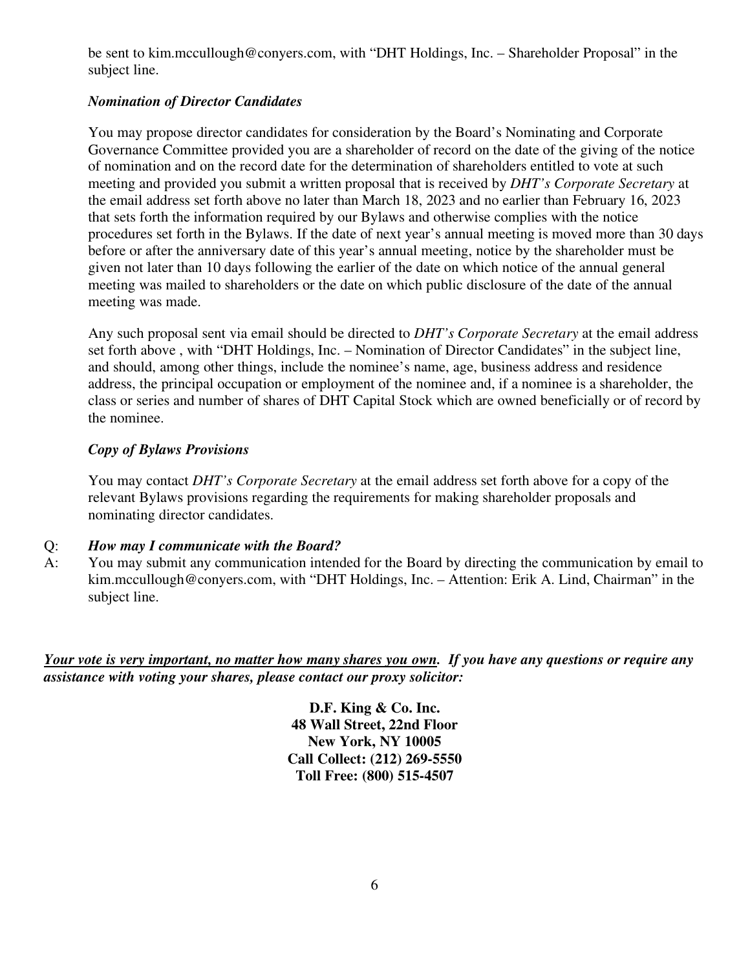be sent to kim.mccullough@conyers.com, with "DHT Holdings, Inc. – Shareholder Proposal" in the subject line.

# *Nomination of Director Candidates*

You may propose director candidates for consideration by the Board's Nominating and Corporate Governance Committee provided you are a shareholder of record on the date of the giving of the notice of nomination and on the record date for the determination of shareholders entitled to vote at such meeting and provided you submit a written proposal that is received by *DHT's Corporate Secretary* at the email address set forth above no later than March 18, 2023 and no earlier than February 16, 2023 that sets forth the information required by our Bylaws and otherwise complies with the notice procedures set forth in the Bylaws. If the date of next year's annual meeting is moved more than 30 days before or after the anniversary date of this year's annual meeting, notice by the shareholder must be given not later than 10 days following the earlier of the date on which notice of the annual general meeting was mailed to shareholders or the date on which public disclosure of the date of the annual meeting was made.

Any such proposal sent via email should be directed to *DHT's Corporate Secretary* at the email address set forth above , with "DHT Holdings, Inc. – Nomination of Director Candidates" in the subject line, and should, among other things, include the nominee's name, age, business address and residence address, the principal occupation or employment of the nominee and, if a nominee is a shareholder, the class or series and number of shares of DHT Capital Stock which are owned beneficially or of record by the nominee.

## *Copy of Bylaws Provisions*

You may contact *DHT's Corporate Secretary* at the email address set forth above for a copy of the relevant Bylaws provisions regarding the requirements for making shareholder proposals and nominating director candidates.

## Q: *How may I communicate with the Board?*

A: You may submit any communication intended for the Board by directing the communication by email to kim.mccullough@conyers.com, with "DHT Holdings, Inc. – Attention: Erik A. Lind, Chairman" in the subject line.

*Your vote is very important, no matter how many shares you own. If you have any questions or require any assistance with voting your shares, please contact our proxy solicitor:* 

> **D.F. King & Co. Inc. 48 Wall Street, 22nd Floor New York, NY 10005 Call Collect: (212) 269-5550 Toll Free: (800) 515-4507**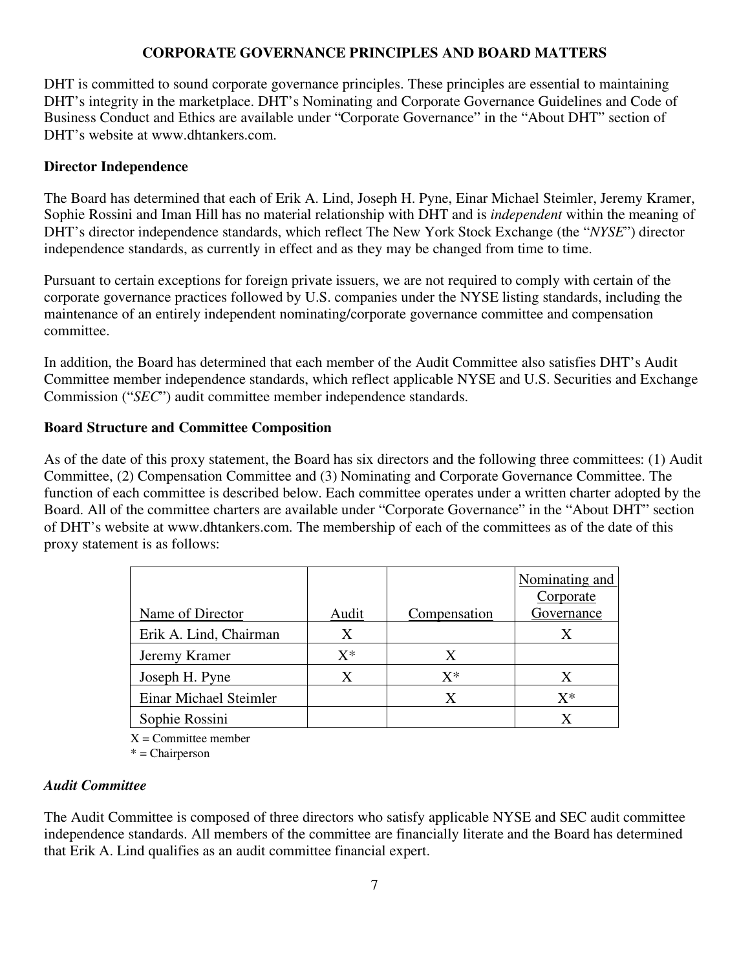## **CORPORATE GOVERNANCE PRINCIPLES AND BOARD MATTERS**

DHT is committed to sound corporate governance principles. These principles are essential to maintaining DHT's integrity in the marketplace. DHT's Nominating and Corporate Governance Guidelines and Code of Business Conduct and Ethics are available under "Corporate Governance" in the "About DHT" section of DHT's website at www.dhtankers.com.

## **Director Independence**

The Board has determined that each of Erik A. Lind, Joseph H. Pyne, Einar Michael Steimler, Jeremy Kramer, Sophie Rossini and Iman Hill has no material relationship with DHT and is *independent* within the meaning of DHT's director independence standards, which reflect The New York Stock Exchange (the "*NYSE*") director independence standards, as currently in effect and as they may be changed from time to time.

Pursuant to certain exceptions for foreign private issuers, we are not required to comply with certain of the corporate governance practices followed by U.S. companies under the NYSE listing standards, including the maintenance of an entirely independent nominating/corporate governance committee and compensation committee.

In addition, the Board has determined that each member of the Audit Committee also satisfies DHT's Audit Committee member independence standards, which reflect applicable NYSE and U.S. Securities and Exchange Commission ("*SEC*") audit committee member independence standards.

## **Board Structure and Committee Composition**

As of the date of this proxy statement, the Board has six directors and the following three committees: (1) Audit Committee, (2) Compensation Committee and (3) Nominating and Corporate Governance Committee. The function of each committee is described below. Each committee operates under a written charter adopted by the Board. All of the committee charters are available under "Corporate Governance" in the "About DHT" section of DHT's website at www.dhtankers.com. The membership of each of the committees as of the date of this proxy statement is as follows:

|                        |       |              | Nominating and |
|------------------------|-------|--------------|----------------|
|                        |       |              | Corporate      |
| Name of Director       | Audit | Compensation | Governance     |
| Erik A. Lind, Chairman | X     |              |                |
| Jeremy Kramer          | $X^*$ | X            |                |
| Joseph H. Pyne         | Χ     | $X^*$        | Х              |
| Einar Michael Steimler |       | X            | $X^*$          |
| Sophie Rossini         |       |              |                |

 $X =$  Committee member

\* = Chairperson

### *Audit Committee*

The Audit Committee is composed of three directors who satisfy applicable NYSE and SEC audit committee independence standards. All members of the committee are financially literate and the Board has determined that Erik A. Lind qualifies as an audit committee financial expert.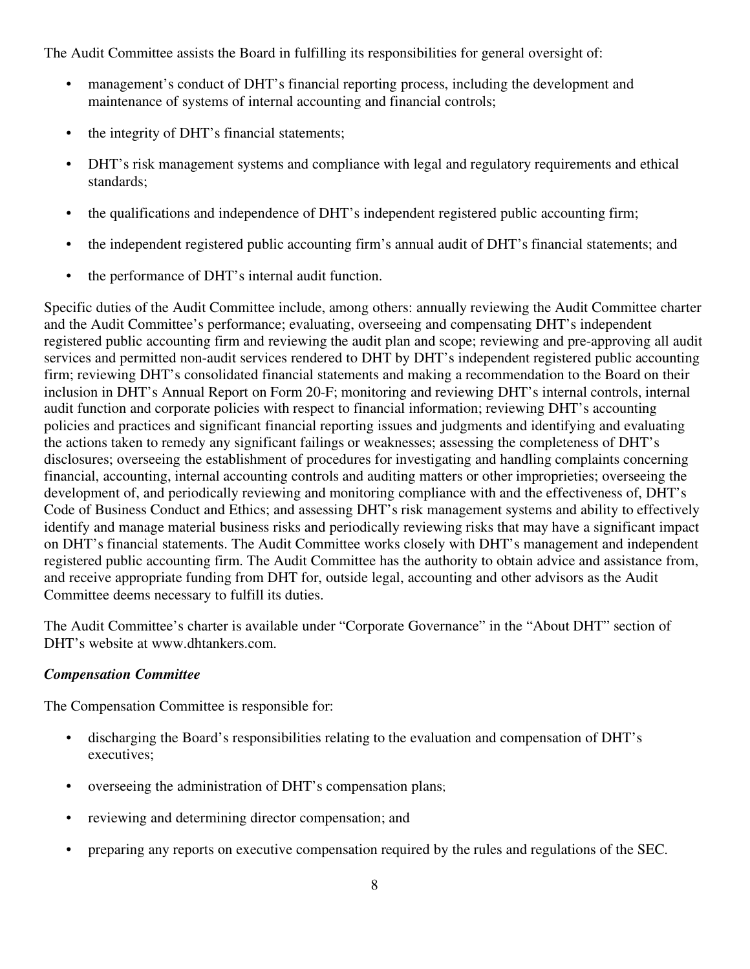The Audit Committee assists the Board in fulfilling its responsibilities for general oversight of:

- management's conduct of DHT's financial reporting process, including the development and maintenance of systems of internal accounting and financial controls;
- the integrity of DHT's financial statements;
- DHT's risk management systems and compliance with legal and regulatory requirements and ethical standards;
- the qualifications and independence of DHT's independent registered public accounting firm;
- the independent registered public accounting firm's annual audit of DHT's financial statements; and
- the performance of DHT's internal audit function.

Specific duties of the Audit Committee include, among others: annually reviewing the Audit Committee charter and the Audit Committee's performance; evaluating, overseeing and compensating DHT's independent registered public accounting firm and reviewing the audit plan and scope; reviewing and pre-approving all audit services and permitted non-audit services rendered to DHT by DHT's independent registered public accounting firm; reviewing DHT's consolidated financial statements and making a recommendation to the Board on their inclusion in DHT's Annual Report on Form 20-F; monitoring and reviewing DHT's internal controls, internal audit function and corporate policies with respect to financial information; reviewing DHT's accounting policies and practices and significant financial reporting issues and judgments and identifying and evaluating the actions taken to remedy any significant failings or weaknesses; assessing the completeness of DHT's disclosures; overseeing the establishment of procedures for investigating and handling complaints concerning financial, accounting, internal accounting controls and auditing matters or other improprieties; overseeing the development of, and periodically reviewing and monitoring compliance with and the effectiveness of, DHT's Code of Business Conduct and Ethics; and assessing DHT's risk management systems and ability to effectively identify and manage material business risks and periodically reviewing risks that may have a significant impact on DHT's financial statements. The Audit Committee works closely with DHT's management and independent registered public accounting firm. The Audit Committee has the authority to obtain advice and assistance from, and receive appropriate funding from DHT for, outside legal, accounting and other advisors as the Audit Committee deems necessary to fulfill its duties.

The Audit Committee's charter is available under "Corporate Governance" in the "About DHT" section of DHT's website at www.dhtankers.com.

### *Compensation Committee*

The Compensation Committee is responsible for:

- discharging the Board's responsibilities relating to the evaluation and compensation of DHT's executives;
- overseeing the administration of DHT's compensation plans;
- reviewing and determining director compensation; and
- preparing any reports on executive compensation required by the rules and regulations of the SEC.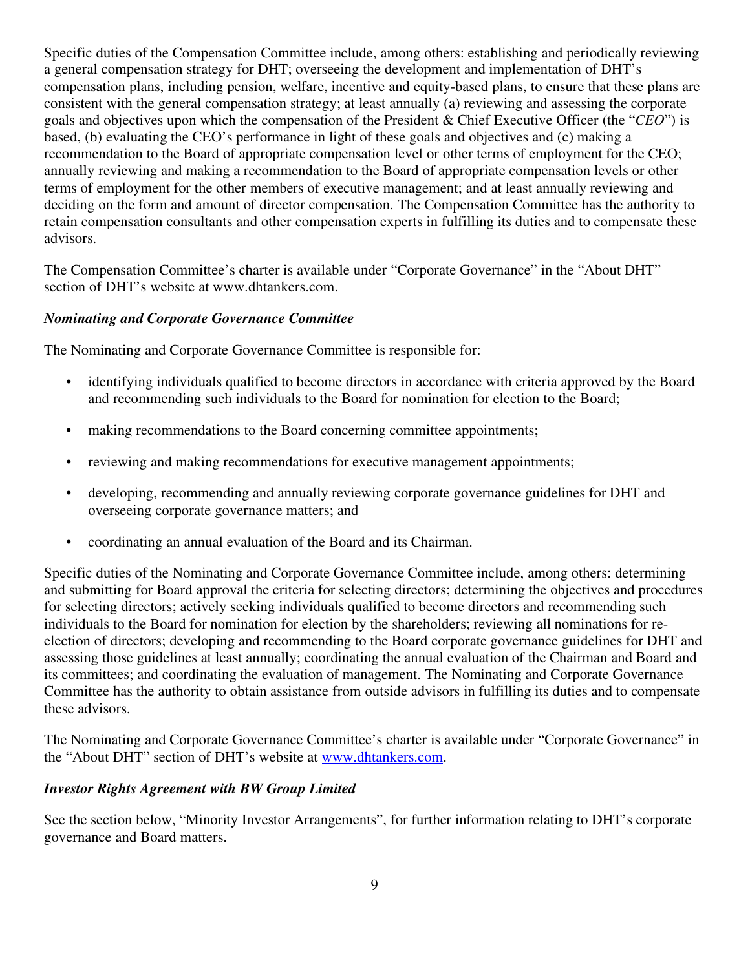Specific duties of the Compensation Committee include, among others: establishing and periodically reviewing a general compensation strategy for DHT; overseeing the development and implementation of DHT's compensation plans, including pension, welfare, incentive and equity-based plans, to ensure that these plans are consistent with the general compensation strategy; at least annually (a) reviewing and assessing the corporate goals and objectives upon which the compensation of the President & Chief Executive Officer (the "*CEO*") is based, (b) evaluating the CEO's performance in light of these goals and objectives and (c) making a recommendation to the Board of appropriate compensation level or other terms of employment for the CEO; annually reviewing and making a recommendation to the Board of appropriate compensation levels or other terms of employment for the other members of executive management; and at least annually reviewing and deciding on the form and amount of director compensation. The Compensation Committee has the authority to retain compensation consultants and other compensation experts in fulfilling its duties and to compensate these advisors.

The Compensation Committee's charter is available under "Corporate Governance" in the "About DHT" section of DHT's website at www.dhtankers.com.

## *Nominating and Corporate Governance Committee*

The Nominating and Corporate Governance Committee is responsible for:

- identifying individuals qualified to become directors in accordance with criteria approved by the Board and recommending such individuals to the Board for nomination for election to the Board;
- making recommendations to the Board concerning committee appointments;
- reviewing and making recommendations for executive management appointments;
- developing, recommending and annually reviewing corporate governance guidelines for DHT and overseeing corporate governance matters; and
- coordinating an annual evaluation of the Board and its Chairman.

Specific duties of the Nominating and Corporate Governance Committee include, among others: determining and submitting for Board approval the criteria for selecting directors; determining the objectives and procedures for selecting directors; actively seeking individuals qualified to become directors and recommending such individuals to the Board for nomination for election by the shareholders; reviewing all nominations for reelection of directors; developing and recommending to the Board corporate governance guidelines for DHT and assessing those guidelines at least annually; coordinating the annual evaluation of the Chairman and Board and its committees; and coordinating the evaluation of management. The Nominating and Corporate Governance Committee has the authority to obtain assistance from outside advisors in fulfilling its duties and to compensate these advisors.

The Nominating and Corporate Governance Committee's charter is available under "Corporate Governance" in the "About DHT" section of DHT's website at www.dhtankers.com.

### *Investor Rights Agreement with BW Group Limited*

See the section below, "Minority Investor Arrangements", for further information relating to DHT's corporate governance and Board matters.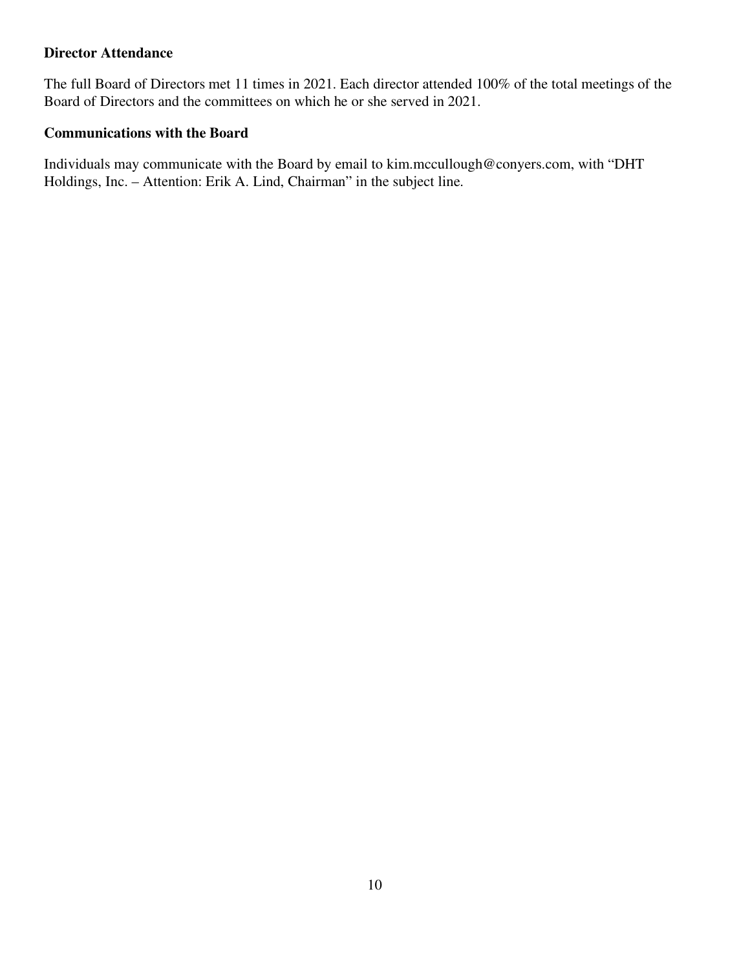## **Director Attendance**

The full Board of Directors met 11 times in 2021. Each director attended 100% of the total meetings of the Board of Directors and the committees on which he or she served in 2021.

## **Communications with the Board**

Individuals may communicate with the Board by email to kim.mccullough@conyers.com, with "DHT Holdings, Inc. – Attention: Erik A. Lind, Chairman" in the subject line.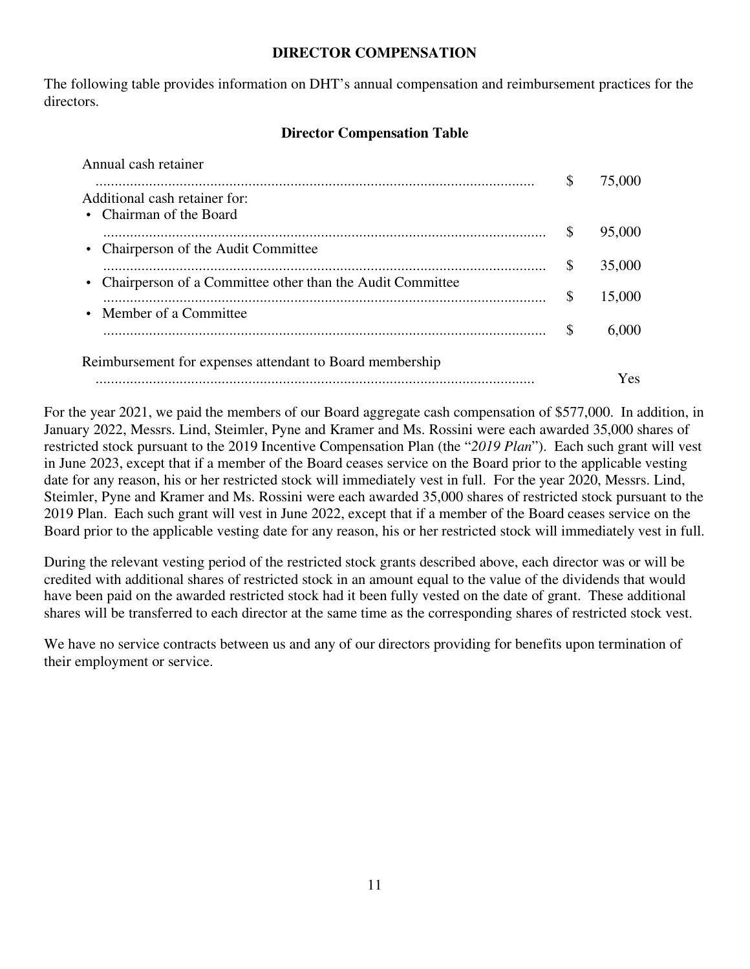#### **DIRECTOR COMPENSATION**

The following table provides information on DHT's annual compensation and reimbursement practices for the directors.

## **Director Compensation Table**

| Annual cash retainer                                        |     |        |
|-------------------------------------------------------------|-----|--------|
| Additional cash retainer for:<br>• Chairman of the Board    | S   | 75,000 |
| • Chairperson of the Audit Committee                        | S   | 95,000 |
| • Chairperson of a Committee other than the Audit Committee | S   | 35,000 |
| • Member of a Committee                                     | S   | 15,000 |
|                                                             | \$. | 6.000  |
| Reimbursement for expenses attendant to Board membership    |     |        |
|                                                             |     | Yes    |

For the year 2021, we paid the members of our Board aggregate cash compensation of \$577,000. In addition, in January 2022, Messrs. Lind, Steimler, Pyne and Kramer and Ms. Rossini were each awarded 35,000 shares of restricted stock pursuant to the 2019 Incentive Compensation Plan (the "*2019 Plan*"). Each such grant will vest in June 2023, except that if a member of the Board ceases service on the Board prior to the applicable vesting date for any reason, his or her restricted stock will immediately vest in full. For the year 2020, Messrs. Lind, Steimler, Pyne and Kramer and Ms. Rossini were each awarded 35,000 shares of restricted stock pursuant to the 2019 Plan. Each such grant will vest in June 2022, except that if a member of the Board ceases service on the Board prior to the applicable vesting date for any reason, his or her restricted stock will immediately vest in full.

During the relevant vesting period of the restricted stock grants described above, each director was or will be credited with additional shares of restricted stock in an amount equal to the value of the dividends that would have been paid on the awarded restricted stock had it been fully vested on the date of grant. These additional shares will be transferred to each director at the same time as the corresponding shares of restricted stock vest.

We have no service contracts between us and any of our directors providing for benefits upon termination of their employment or service.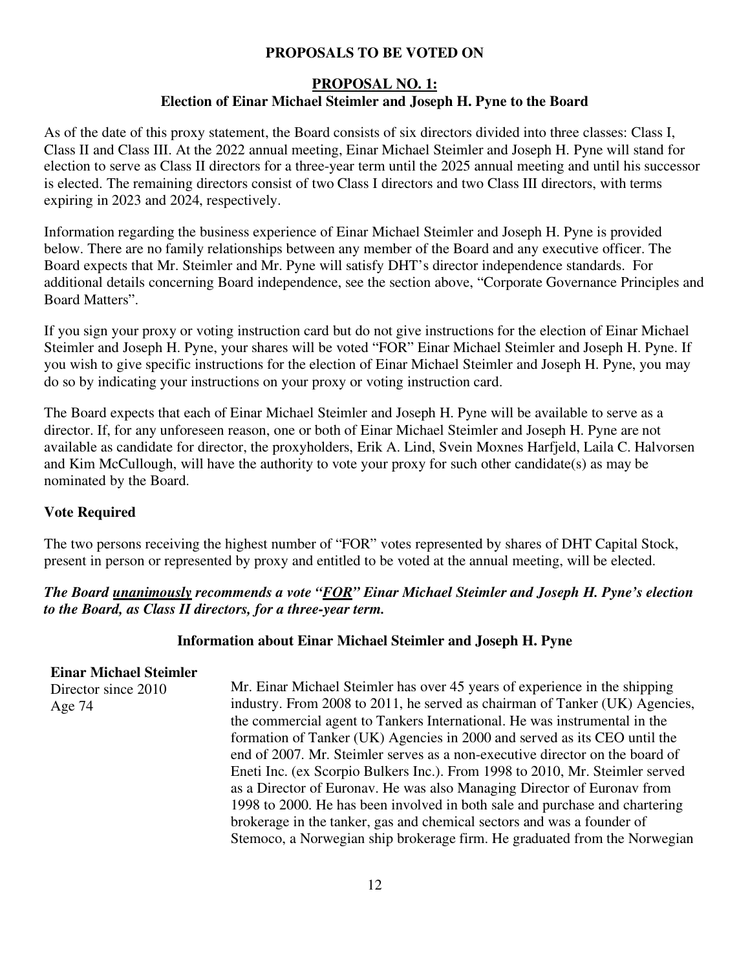## **PROPOSALS TO BE VOTED ON**

## **PROPOSAL NO. 1: Election of Einar Michael Steimler and Joseph H. Pyne to the Board**

As of the date of this proxy statement, the Board consists of six directors divided into three classes: Class I, Class II and Class III. At the 2022 annual meeting, Einar Michael Steimler and Joseph H. Pyne will stand for election to serve as Class II directors for a three-year term until the 2025 annual meeting and until his successor is elected. The remaining directors consist of two Class I directors and two Class III directors, with terms expiring in 2023 and 2024, respectively.

Information regarding the business experience of Einar Michael Steimler and Joseph H. Pyne is provided below. There are no family relationships between any member of the Board and any executive officer. The Board expects that Mr. Steimler and Mr. Pyne will satisfy DHT's director independence standards. For additional details concerning Board independence, see the section above, "Corporate Governance Principles and Board Matters".

If you sign your proxy or voting instruction card but do not give instructions for the election of Einar Michael Steimler and Joseph H. Pyne, your shares will be voted "FOR" Einar Michael Steimler and Joseph H. Pyne. If you wish to give specific instructions for the election of Einar Michael Steimler and Joseph H. Pyne, you may do so by indicating your instructions on your proxy or voting instruction card.

The Board expects that each of Einar Michael Steimler and Joseph H. Pyne will be available to serve as a director. If, for any unforeseen reason, one or both of Einar Michael Steimler and Joseph H. Pyne are not available as candidate for director, the proxyholders, Erik A. Lind, Svein Moxnes Harfjeld, Laila C. Halvorsen and Kim McCullough, will have the authority to vote your proxy for such other candidate(s) as may be nominated by the Board.

## **Vote Required**

The two persons receiving the highest number of "FOR" votes represented by shares of DHT Capital Stock, present in person or represented by proxy and entitled to be voted at the annual meeting, will be elected.

## *The Board unanimously recommends a vote "FOR" Einar Michael Steimler and Joseph H. Pyne's election to the Board, as Class II directors, for a three-year term.*

## **Information about Einar Michael Steimler and Joseph H. Pyne**

### **Einar Michael Steimler**

Director since 2010 Age 74

Mr. Einar Michael Steimler has over 45 years of experience in the shipping industry. From 2008 to 2011, he served as chairman of Tanker (UK) Agencies, the commercial agent to Tankers International. He was instrumental in the formation of Tanker (UK) Agencies in 2000 and served as its CEO until the end of 2007. Mr. Steimler serves as a non-executive director on the board of Eneti Inc. (ex Scorpio Bulkers Inc.). From 1998 to 2010, Mr. Steimler served as a Director of Euronav. He was also Managing Director of Euronav from 1998 to 2000. He has been involved in both sale and purchase and chartering brokerage in the tanker, gas and chemical sectors and was a founder of Stemoco, a Norwegian ship brokerage firm. He graduated from the Norwegian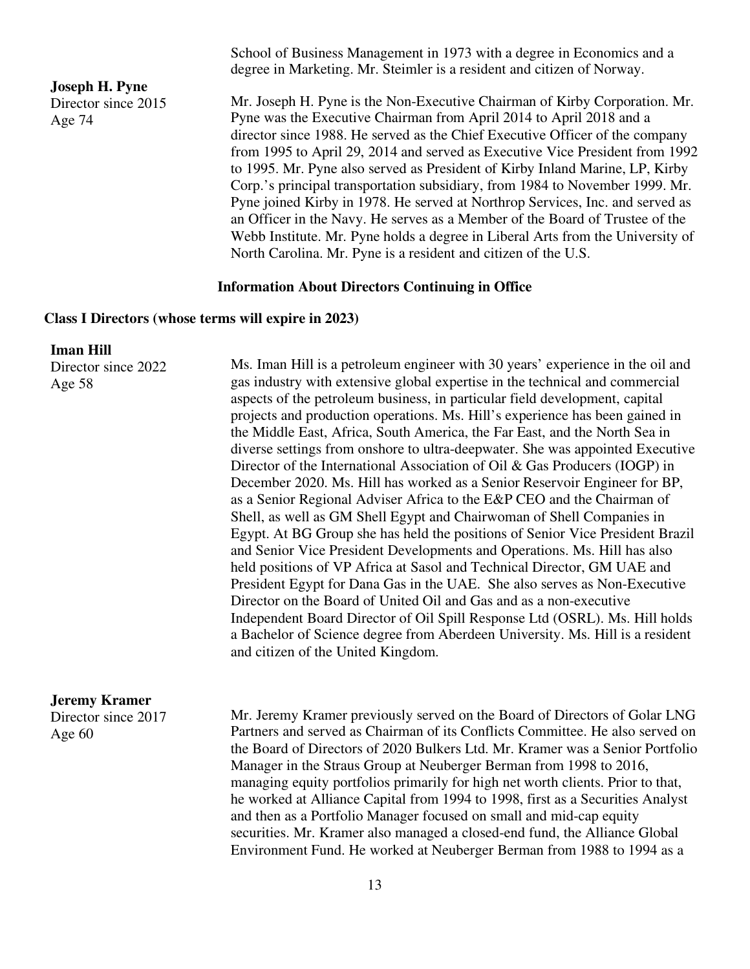**Joseph H. Pyne**  Director since 2015

Age 74

School of Business Management in 1973 with a degree in Economics and a degree in Marketing. Mr. Steimler is a resident and citizen of Norway.

Mr. Joseph H. Pyne is the Non-Executive Chairman of Kirby Corporation. Mr. Pyne was the Executive Chairman from April 2014 to April 2018 and a director since 1988. He served as the Chief Executive Officer of the company from 1995 to April 29, 2014 and served as Executive Vice President from 1992 to 1995. Mr. Pyne also served as President of Kirby Inland Marine, LP, Kirby Corp.'s principal transportation subsidiary, from 1984 to November 1999. Mr. Pyne joined Kirby in 1978. He served at Northrop Services, Inc. and served as an Officer in the Navy. He serves as a Member of the Board of Trustee of the Webb Institute. Mr. Pyne holds a degree in Liberal Arts from the University of North Carolina. Mr. Pyne is a resident and citizen of the U.S.

#### **Information About Directors Continuing in Office**

#### **Class I Directors (whose terms will expire in 2023)**

#### **Iman Hill**

Director since 2022 Age 58

Ms. Iman Hill is a petroleum engineer with 30 years' experience in the oil and gas industry with extensive global expertise in the technical and commercial aspects of the petroleum business, in particular field development, capital projects and production operations. Ms. Hill's experience has been gained in the Middle East, Africa, South America, the Far East, and the North Sea in diverse settings from onshore to ultra-deepwater. She was appointed Executive Director of the International Association of Oil & Gas Producers (IOGP) in December 2020. Ms. Hill has worked as a Senior Reservoir Engineer for BP, as a Senior Regional Adviser Africa to the E&P CEO and the Chairman of Shell, as well as GM Shell Egypt and Chairwoman of Shell Companies in Egypt. At BG Group she has held the positions of Senior Vice President Brazil and Senior Vice President Developments and Operations. Ms. Hill has also held positions of VP Africa at Sasol and Technical Director, GM UAE and President Egypt for Dana Gas in the UAE. She also serves as Non-Executive Director on the Board of United Oil and Gas and as a non-executive Independent Board Director of Oil Spill Response Ltd (OSRL). Ms. Hill holds a Bachelor of Science degree from Aberdeen University. Ms. Hill is a resident and citizen of the United Kingdom.

## **Jeremy Kramer**

Director since 2017 Age 60

Mr. Jeremy Kramer previously served on the Board of Directors of Golar LNG Partners and served as Chairman of its Conflicts Committee. He also served on the Board of Directors of 2020 Bulkers Ltd. Mr. Kramer was a Senior Portfolio Manager in the Straus Group at Neuberger Berman from 1998 to 2016, managing equity portfolios primarily for high net worth clients. Prior to that, he worked at Alliance Capital from 1994 to 1998, first as a Securities Analyst and then as a Portfolio Manager focused on small and mid-cap equity securities. Mr. Kramer also managed a closed-end fund, the Alliance Global Environment Fund. He worked at Neuberger Berman from 1988 to 1994 as a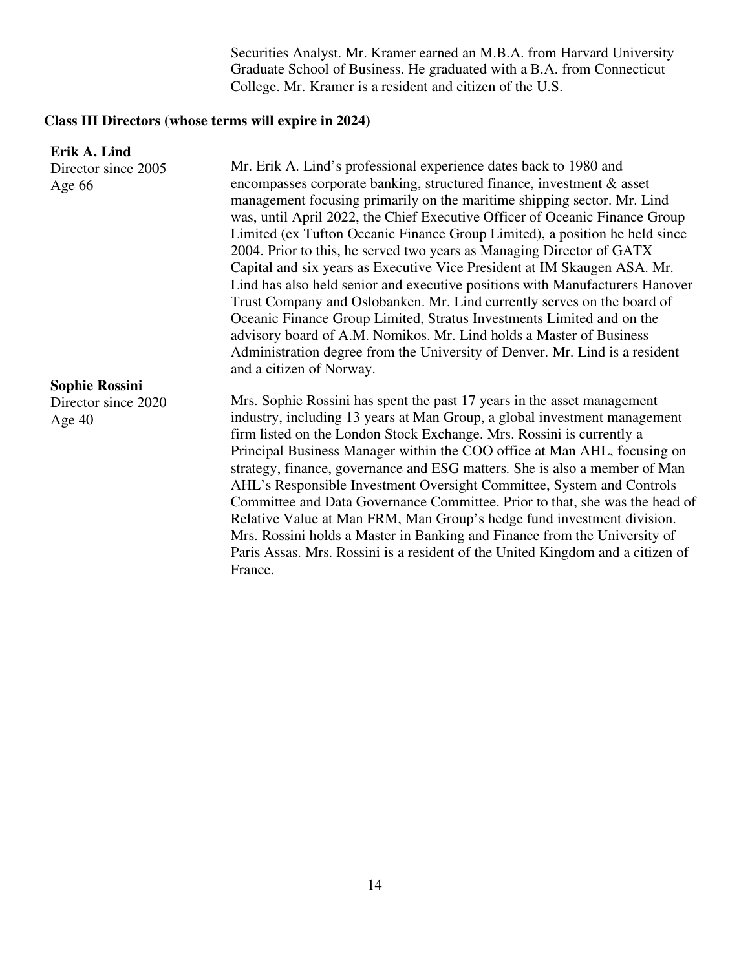Securities Analyst. Mr. Kramer earned an M.B.A. from Harvard University Graduate School of Business. He graduated with a B.A. from Connecticut College. Mr. Kramer is a resident and citizen of the U.S.

# **Class III Directors (whose terms will expire in 2024)**

| Erik A. Lind          |                                                                                |
|-----------------------|--------------------------------------------------------------------------------|
| Director since 2005   | Mr. Erik A. Lind's professional experience dates back to 1980 and              |
| Age $66$              | encompasses corporate banking, structured finance, investment & asset          |
|                       | management focusing primarily on the maritime shipping sector. Mr. Lind        |
|                       | was, until April 2022, the Chief Executive Officer of Oceanic Finance Group    |
|                       | Limited (ex Tufton Oceanic Finance Group Limited), a position he held since    |
|                       | 2004. Prior to this, he served two years as Managing Director of GATX          |
|                       | Capital and six years as Executive Vice President at IM Skaugen ASA. Mr.       |
|                       | Lind has also held senior and executive positions with Manufacturers Hanover   |
|                       | Trust Company and Oslobanken. Mr. Lind currently serves on the board of        |
|                       | Oceanic Finance Group Limited, Stratus Investments Limited and on the          |
|                       | advisory board of A.M. Nomikos. Mr. Lind holds a Master of Business            |
|                       | Administration degree from the University of Denver. Mr. Lind is a resident    |
|                       | and a citizen of Norway.                                                       |
| <b>Sophie Rossini</b> |                                                                                |
| Director since 2020   | Mrs. Sophie Rossini has spent the past 17 years in the asset management        |
| Age $40$              | industry, including 13 years at Man Group, a global investment management      |
|                       | firm listed on the London Stock Exchange. Mrs. Rossini is currently a          |
|                       | Principal Business Manager within the COO office at Man AHL, focusing on       |
|                       | strategy, finance, governance and ESG matters. She is also a member of Man     |
|                       | AHL's Responsible Investment Oversight Committee, System and Controls          |
|                       | Committee and Data Governance Committee. Prior to that, she was the head of    |
|                       | Relative Value at Man FRM, Man Group's hedge fund investment division.         |
|                       | Mrs. Rossini holds a Master in Banking and Finance from the University of      |
|                       | Paris Assas. Mrs. Rossini is a resident of the United Kingdom and a citizen of |
|                       | France.                                                                        |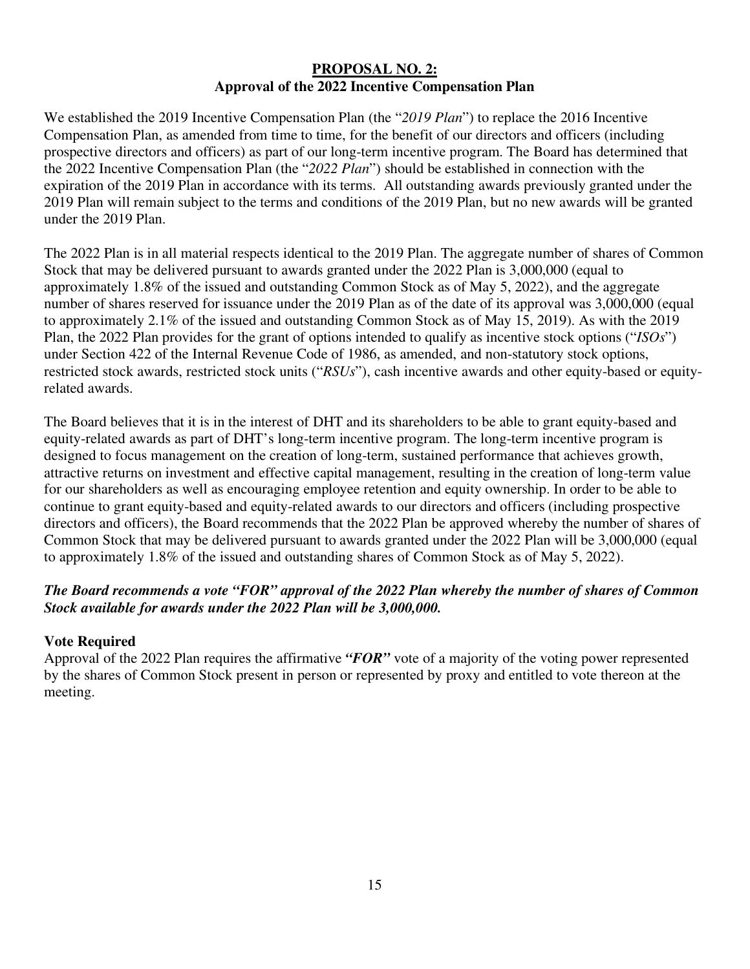## **PROPOSAL NO. 2: Approval of the 2022 Incentive Compensation Plan**

We established the 2019 Incentive Compensation Plan (the "*2019 Plan*") to replace the 2016 Incentive Compensation Plan, as amended from time to time, for the benefit of our directors and officers (including prospective directors and officers) as part of our long-term incentive program. The Board has determined that the 2022 Incentive Compensation Plan (the "*2022 Plan*") should be established in connection with the expiration of the 2019 Plan in accordance with its terms. All outstanding awards previously granted under the 2019 Plan will remain subject to the terms and conditions of the 2019 Plan, but no new awards will be granted under the 2019 Plan.

The 2022 Plan is in all material respects identical to the 2019 Plan. The aggregate number of shares of Common Stock that may be delivered pursuant to awards granted under the 2022 Plan is 3,000,000 (equal to approximately 1.8% of the issued and outstanding Common Stock as of May 5, 2022), and the aggregate number of shares reserved for issuance under the 2019 Plan as of the date of its approval was 3,000,000 (equal to approximately 2.1% of the issued and outstanding Common Stock as of May 15, 2019). As with the 2019 Plan, the 2022 Plan provides for the grant of options intended to qualify as incentive stock options ("*ISOs*") under Section 422 of the Internal Revenue Code of 1986, as amended, and non-statutory stock options, restricted stock awards, restricted stock units ("*RSUs*"), cash incentive awards and other equity-based or equityrelated awards.

The Board believes that it is in the interest of DHT and its shareholders to be able to grant equity-based and equity-related awards as part of DHT's long-term incentive program. The long-term incentive program is designed to focus management on the creation of long-term, sustained performance that achieves growth, attractive returns on investment and effective capital management, resulting in the creation of long-term value for our shareholders as well as encouraging employee retention and equity ownership. In order to be able to continue to grant equity-based and equity-related awards to our directors and officers (including prospective directors and officers), the Board recommends that the 2022 Plan be approved whereby the number of shares of Common Stock that may be delivered pursuant to awards granted under the 2022 Plan will be 3,000,000 (equal to approximately 1.8% of the issued and outstanding shares of Common Stock as of May 5, 2022).

# *The Board recommends a vote "FOR" approval of the 2022 Plan whereby the number of shares of Common Stock available for awards under the 2022 Plan will be 3,000,000.*

## **Vote Required**

Approval of the 2022 Plan requires the affirmative *"FOR"* vote of a majority of the voting power represented by the shares of Common Stock present in person or represented by proxy and entitled to vote thereon at the meeting.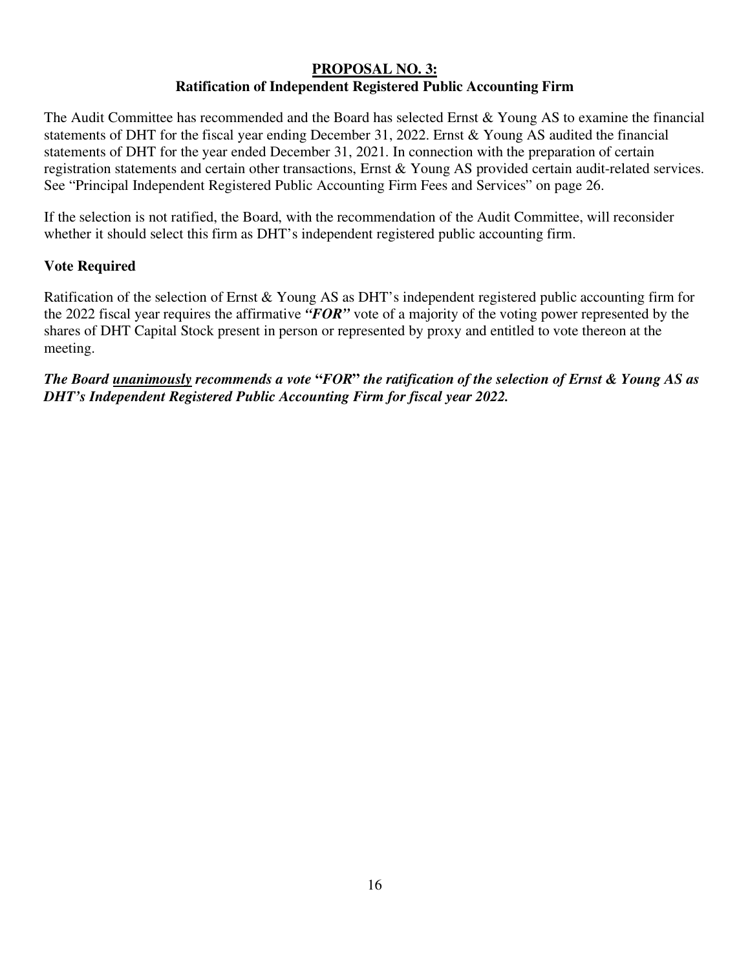## **PROPOSAL NO. 3: Ratification of Independent Registered Public Accounting Firm**

The Audit Committee has recommended and the Board has selected Ernst & Young AS to examine the financial statements of DHT for the fiscal year ending December 31, 2022. Ernst & Young AS audited the financial statements of DHT for the year ended December 31, 2021. In connection with the preparation of certain registration statements and certain other transactions, Ernst & Young AS provided certain audit-related services. See "Principal Independent Registered Public Accounting Firm Fees and Services" on page 26.

If the selection is not ratified, the Board, with the recommendation of the Audit Committee, will reconsider whether it should select this firm as DHT's independent registered public accounting firm.

## **Vote Required**

Ratification of the selection of Ernst & Young AS as DHT's independent registered public accounting firm for the 2022 fiscal year requires the affirmative *"FOR"* vote of a majority of the voting power represented by the shares of DHT Capital Stock present in person or represented by proxy and entitled to vote thereon at the meeting.

*The Board unanimously recommends a vote* **"***FOR***"** *the ratification of the selection of Ernst & Young AS as DHT's Independent Registered Public Accounting Firm for fiscal year 2022.*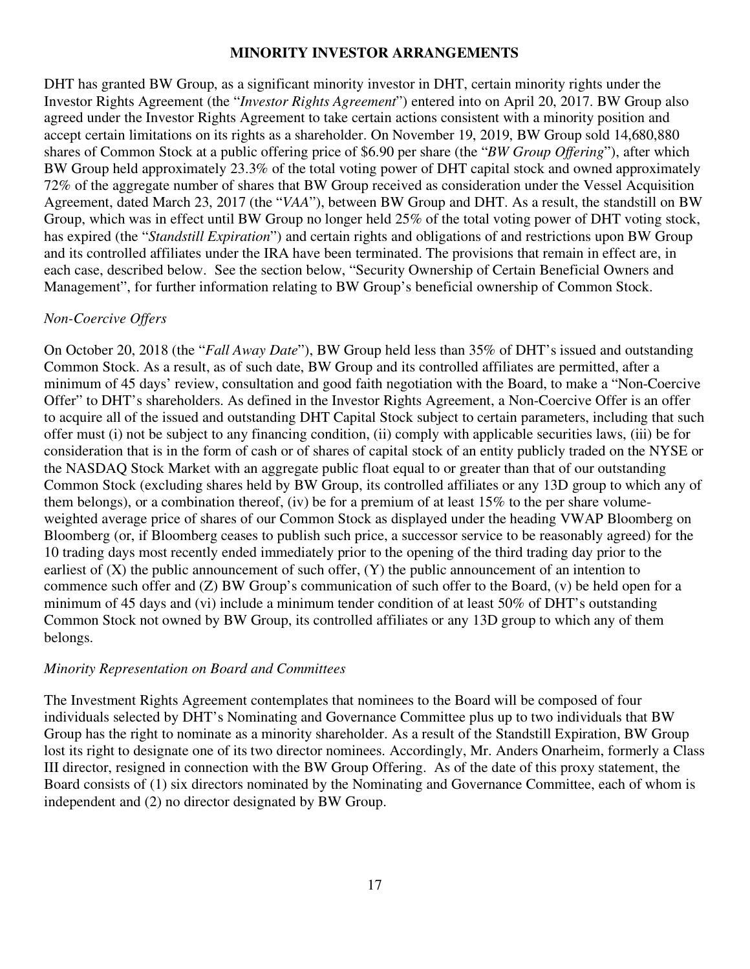#### **MINORITY INVESTOR ARRANGEMENTS**

DHT has granted BW Group, as a significant minority investor in DHT, certain minority rights under the Investor Rights Agreement (the "*Investor Rights Agreement*") entered into on April 20, 2017. BW Group also agreed under the Investor Rights Agreement to take certain actions consistent with a minority position and accept certain limitations on its rights as a shareholder. On November 19, 2019, BW Group sold 14,680,880 shares of Common Stock at a public offering price of \$6.90 per share (the "*BW Group Offering*"), after which BW Group held approximately 23.3% of the total voting power of DHT capital stock and owned approximately 72% of the aggregate number of shares that BW Group received as consideration under the Vessel Acquisition Agreement, dated March 23, 2017 (the "*VAA*"), between BW Group and DHT. As a result, the standstill on BW Group, which was in effect until BW Group no longer held 25% of the total voting power of DHT voting stock, has expired (the "*Standstill Expiration*") and certain rights and obligations of and restrictions upon BW Group and its controlled affiliates under the IRA have been terminated. The provisions that remain in effect are, in each case, described below. See the section below, "Security Ownership of Certain Beneficial Owners and Management", for further information relating to BW Group's beneficial ownership of Common Stock.

#### *Non-Coercive Offers*

On October 20, 2018 (the "*Fall Away Date*"), BW Group held less than 35% of DHT's issued and outstanding Common Stock. As a result, as of such date, BW Group and its controlled affiliates are permitted, after a minimum of 45 days' review, consultation and good faith negotiation with the Board, to make a "Non-Coercive Offer" to DHT's shareholders. As defined in the Investor Rights Agreement, a Non-Coercive Offer is an offer to acquire all of the issued and outstanding DHT Capital Stock subject to certain parameters, including that such offer must (i) not be subject to any financing condition, (ii) comply with applicable securities laws, (iii) be for consideration that is in the form of cash or of shares of capital stock of an entity publicly traded on the NYSE or the NASDAQ Stock Market with an aggregate public float equal to or greater than that of our outstanding Common Stock (excluding shares held by BW Group, its controlled affiliates or any 13D group to which any of them belongs), or a combination thereof, (iv) be for a premium of at least 15% to the per share volumeweighted average price of shares of our Common Stock as displayed under the heading VWAP Bloomberg on Bloomberg (or, if Bloomberg ceases to publish such price, a successor service to be reasonably agreed) for the 10 trading days most recently ended immediately prior to the opening of the third trading day prior to the earliest of (X) the public announcement of such offer, (Y) the public announcement of an intention to commence such offer and (Z) BW Group's communication of such offer to the Board, (v) be held open for a minimum of 45 days and (vi) include a minimum tender condition of at least 50% of DHT's outstanding Common Stock not owned by BW Group, its controlled affiliates or any 13D group to which any of them belongs.

#### *Minority Representation on Board and Committees*

The Investment Rights Agreement contemplates that nominees to the Board will be composed of four individuals selected by DHT's Nominating and Governance Committee plus up to two individuals that BW Group has the right to nominate as a minority shareholder. As a result of the Standstill Expiration, BW Group lost its right to designate one of its two director nominees. Accordingly, Mr. Anders Onarheim, formerly a Class III director, resigned in connection with the BW Group Offering. As of the date of this proxy statement, the Board consists of (1) six directors nominated by the Nominating and Governance Committee, each of whom is independent and (2) no director designated by BW Group.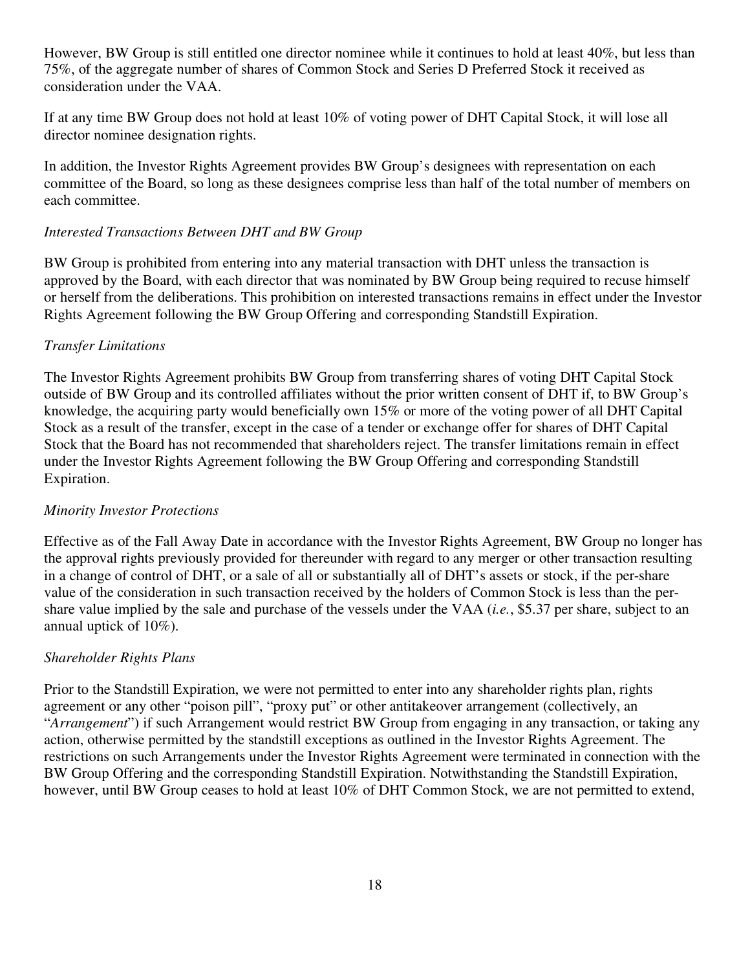However, BW Group is still entitled one director nominee while it continues to hold at least 40%, but less than 75%, of the aggregate number of shares of Common Stock and Series D Preferred Stock it received as consideration under the VAA.

If at any time BW Group does not hold at least 10% of voting power of DHT Capital Stock, it will lose all director nominee designation rights.

In addition, the Investor Rights Agreement provides BW Group's designees with representation on each committee of the Board, so long as these designees comprise less than half of the total number of members on each committee.

### *Interested Transactions Between DHT and BW Group*

BW Group is prohibited from entering into any material transaction with DHT unless the transaction is approved by the Board, with each director that was nominated by BW Group being required to recuse himself or herself from the deliberations. This prohibition on interested transactions remains in effect under the Investor Rights Agreement following the BW Group Offering and corresponding Standstill Expiration.

#### *Transfer Limitations*

The Investor Rights Agreement prohibits BW Group from transferring shares of voting DHT Capital Stock outside of BW Group and its controlled affiliates without the prior written consent of DHT if, to BW Group's knowledge, the acquiring party would beneficially own 15% or more of the voting power of all DHT Capital Stock as a result of the transfer, except in the case of a tender or exchange offer for shares of DHT Capital Stock that the Board has not recommended that shareholders reject. The transfer limitations remain in effect under the Investor Rights Agreement following the BW Group Offering and corresponding Standstill Expiration.

#### *Minority Investor Protections*

Effective as of the Fall Away Date in accordance with the Investor Rights Agreement, BW Group no longer has the approval rights previously provided for thereunder with regard to any merger or other transaction resulting in a change of control of DHT, or a sale of all or substantially all of DHT's assets or stock, if the per-share value of the consideration in such transaction received by the holders of Common Stock is less than the pershare value implied by the sale and purchase of the vessels under the VAA (*i.e.*, \$5.37 per share, subject to an annual uptick of 10%).

### *Shareholder Rights Plans*

Prior to the Standstill Expiration, we were not permitted to enter into any shareholder rights plan, rights agreement or any other "poison pill", "proxy put" or other antitakeover arrangement (collectively, an "*Arrangement*") if such Arrangement would restrict BW Group from engaging in any transaction, or taking any action, otherwise permitted by the standstill exceptions as outlined in the Investor Rights Agreement. The restrictions on such Arrangements under the Investor Rights Agreement were terminated in connection with the BW Group Offering and the corresponding Standstill Expiration. Notwithstanding the Standstill Expiration, however, until BW Group ceases to hold at least 10% of DHT Common Stock, we are not permitted to extend,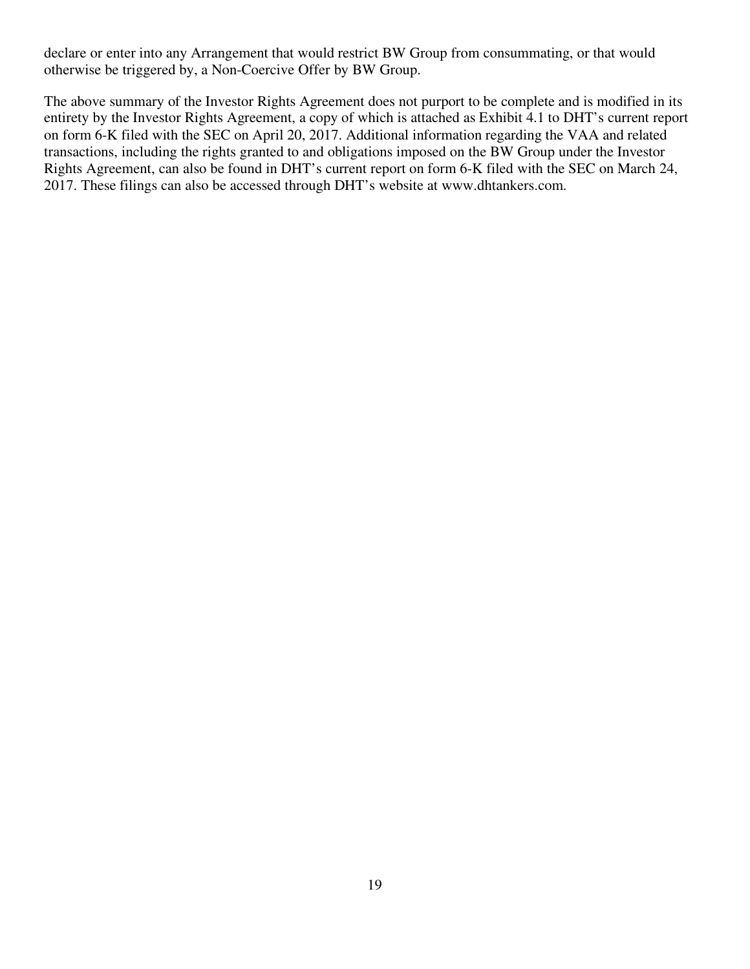declare or enter into any Arrangement that would restrict BW Group from consummating, or that would otherwise be triggered by, a Non-Coercive Offer by BW Group.

The above summary of the Investor Rights Agreement does not purport to be complete and is modified in its entirety by the Investor Rights Agreement, a copy of which is attached as Exhibit 4.1 to DHT's current report on form 6-K filed with the SEC on April 20, 2017. Additional information regarding the VAA and related transactions, including the rights granted to and obligations imposed on the BW Group under the Investor Rights Agreement, can also be found in DHT's current report on form 6-K filed with the SEC on March 24, 2017. These filings can also be accessed through DHT's website at www.dhtankers.com.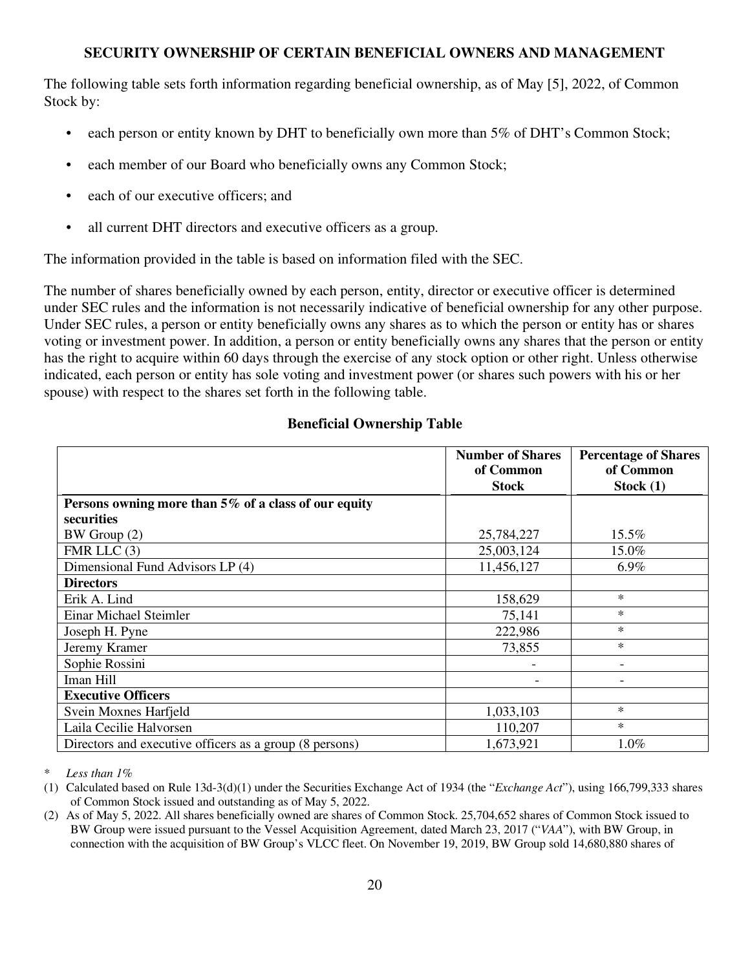## **SECURITY OWNERSHIP OF CERTAIN BENEFICIAL OWNERS AND MANAGEMENT**

The following table sets forth information regarding beneficial ownership, as of May [5], 2022, of Common Stock by:

- each person or entity known by DHT to beneficially own more than 5% of DHT's Common Stock;
- each member of our Board who beneficially owns any Common Stock;
- each of our executive officers; and
- all current DHT directors and executive officers as a group.

The information provided in the table is based on information filed with the SEC.

The number of shares beneficially owned by each person, entity, director or executive officer is determined under SEC rules and the information is not necessarily indicative of beneficial ownership for any other purpose. Under SEC rules, a person or entity beneficially owns any shares as to which the person or entity has or shares voting or investment power. In addition, a person or entity beneficially owns any shares that the person or entity has the right to acquire within 60 days through the exercise of any stock option or other right. Unless otherwise indicated, each person or entity has sole voting and investment power (or shares such powers with his or her spouse) with respect to the shares set forth in the following table.

## **Beneficial Ownership Table**

|                                                         | <b>Number of Shares</b><br>of Common<br><b>Stock</b> | <b>Percentage of Shares</b><br>of Common<br>Stock $(1)$ |
|---------------------------------------------------------|------------------------------------------------------|---------------------------------------------------------|
| Persons owning more than 5% of a class of our equity    |                                                      |                                                         |
| securities                                              |                                                      |                                                         |
| BW Group (2)                                            | 25,784,227                                           | 15.5%                                                   |
| FMR LLC $(3)$                                           | 25,003,124                                           | 15.0%                                                   |
| Dimensional Fund Advisors LP (4)                        | 11,456,127                                           | 6.9%                                                    |
| <b>Directors</b>                                        |                                                      |                                                         |
| Erik A. Lind                                            | 158,629                                              | $\ast$                                                  |
| Einar Michael Steimler                                  | 75,141                                               | $\ast$                                                  |
| Joseph H. Pyne                                          | 222,986                                              | $\ast$                                                  |
| Jeremy Kramer                                           | 73,855                                               | $\ast$                                                  |
| Sophie Rossini                                          |                                                      |                                                         |
| Iman Hill                                               |                                                      |                                                         |
| <b>Executive Officers</b>                               |                                                      |                                                         |
| Svein Moxnes Harfjeld                                   | 1,033,103                                            | $\ast$                                                  |
| Laila Cecilie Halvorsen                                 | 110,207                                              | $\ast$                                                  |
| Directors and executive officers as a group (8 persons) | 1,673,921                                            | $1.0\%$                                                 |

Less than 1%

<sup>(1)</sup> Calculated based on Rule 13d-3(d)(1) under the Securities Exchange Act of 1934 (the "*Exchange Act*"), using 166,799,333 shares of Common Stock issued and outstanding as of May 5, 2022.

<sup>(2)</sup> As of May 5, 2022. All shares beneficially owned are shares of Common Stock. 25,704,652 shares of Common Stock issued to BW Group were issued pursuant to the Vessel Acquisition Agreement, dated March 23, 2017 ("*VAA*"), with BW Group, in connection with the acquisition of BW Group's VLCC fleet. On November 19, 2019, BW Group sold 14,680,880 shares of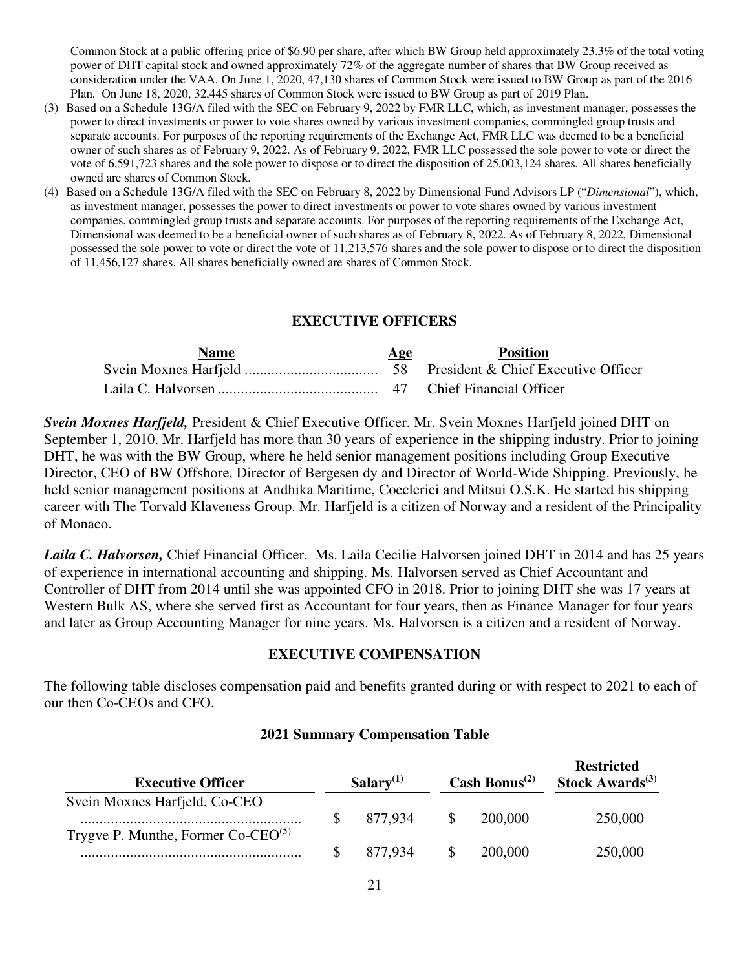Common Stock at a public offering price of \$6.90 per share, after which BW Group held approximately 23.3% of the total voting power of DHT capital stock and owned approximately 72% of the aggregate number of shares that BW Group received as consideration under the VAA. On June 1, 2020, 47,130 shares of Common Stock were issued to BW Group as part of the 2016 Plan. On June 18, 2020, 32,445 shares of Common Stock were issued to BW Group as part of 2019 Plan.

- (3) Based on a Schedule 13G/A filed with the SEC on February 9, 2022 by FMR LLC, which, as investment manager, possesses the power to direct investments or power to vote shares owned by various investment companies, commingled group trusts and separate accounts. For purposes of the reporting requirements of the Exchange Act, FMR LLC was deemed to be a beneficial owner of such shares as of February 9, 2022. As of February 9, 2022, FMR LLC possessed the sole power to vote or direct the vote of 6,591,723 shares and the sole power to dispose or to direct the disposition of 25,003,124 shares. All shares beneficially owned are shares of Common Stock.
- (4) Based on a Schedule 13G/A filed with the SEC on February 8, 2022 by Dimensional Fund Advisors LP ("*Dimensional*"), which, as investment manager, possesses the power to direct investments or power to vote shares owned by various investment companies, commingled group trusts and separate accounts. For purposes of the reporting requirements of the Exchange Act, Dimensional was deemed to be a beneficial owner of such shares as of February 8, 2022. As of February 8, 2022, Dimensional possessed the sole power to vote or direct the vote of 11,213,576 shares and the sole power to dispose or to direct the disposition of 11,456,127 shares. All shares beneficially owned are shares of Common Stock.

### **EXECUTIVE OFFICERS**

| <b>Name</b> | Age | <b>Position</b> |
|-------------|-----|-----------------|
|             |     |                 |
|             |     |                 |

*Svein Moxnes Harfjeld,* President & Chief Executive Officer. Mr. Svein Moxnes Harfjeld joined DHT on September 1, 2010. Mr. Harfjeld has more than 30 years of experience in the shipping industry. Prior to joining DHT, he was with the BW Group, where he held senior management positions including Group Executive Director, CEO of BW Offshore, Director of Bergesen dy and Director of World-Wide Shipping. Previously, he held senior management positions at Andhika Maritime, Coeclerici and Mitsui O.S.K. He started his shipping career with The Torvald Klaveness Group. Mr. Harfjeld is a citizen of Norway and a resident of the Principality of Monaco.

*Laila C. Halvorsen,* Chief Financial Officer. Ms. Laila Cecilie Halvorsen joined DHT in 2014 and has 25 years of experience in international accounting and shipping. Ms. Halvorsen served as Chief Accountant and Controller of DHT from 2014 until she was appointed CFO in 2018. Prior to joining DHT she was 17 years at Western Bulk AS, where she served first as Accountant for four years, then as Finance Manager for four years and later as Group Accounting Manager for nine years. Ms. Halvorsen is a citizen and a resident of Norway.

### **EXECUTIVE COMPENSATION**

The following table discloses compensation paid and benefits granted during or with respect to 2021 to each of our then Co-CEOs and CFO.

#### **2021 Summary Compensation Table**

| <b>Executive Officer</b>                | $Salarv^{(1)}$ | Cash Bonus <sup><math>(2)</math></sup> | <b>Restricted</b><br>Stock Awards $(3)$ |
|-----------------------------------------|----------------|----------------------------------------|-----------------------------------------|
| Svein Moxnes Harfjeld, Co-CEO           | 877.934        | 200,000                                | 250,000                                 |
| Trygve P. Munthe, Former $Co-CEO^{(5)}$ |                |                                        |                                         |
|                                         | 877.934        | 200,000                                | 250,000                                 |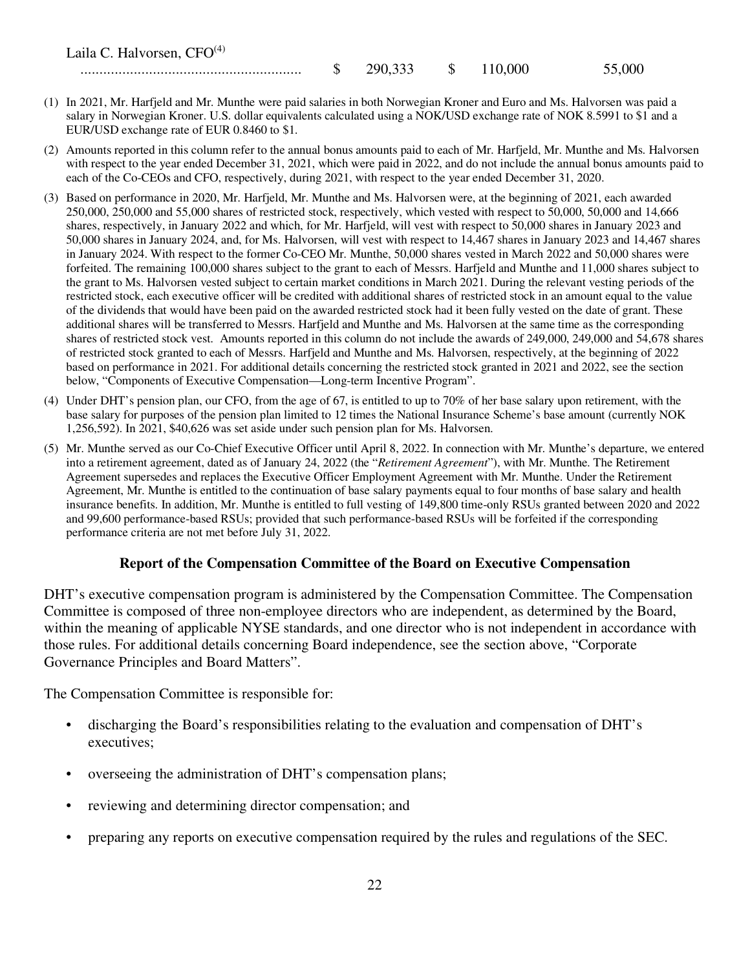| Laila C. Halvorsen, $CFO(4)$ |    |         |         |        |
|------------------------------|----|---------|---------|--------|
|                              | ιD | 290,333 | 110.000 | 55,000 |

- (1) In 2021, Mr. Harfjeld and Mr. Munthe were paid salaries in both Norwegian Kroner and Euro and Ms. Halvorsen was paid a salary in Norwegian Kroner. U.S. dollar equivalents calculated using a NOK/USD exchange rate of NOK 8.5991 to \$1 and a EUR/USD exchange rate of EUR 0.8460 to \$1.
- (2) Amounts reported in this column refer to the annual bonus amounts paid to each of Mr. Harfjeld, Mr. Munthe and Ms. Halvorsen with respect to the year ended December 31, 2021, which were paid in 2022, and do not include the annual bonus amounts paid to each of the Co-CEOs and CFO, respectively, during 2021, with respect to the year ended December 31, 2020.
- (3) Based on performance in 2020, Mr. Harfjeld, Mr. Munthe and Ms. Halvorsen were, at the beginning of 2021, each awarded 250,000, 250,000 and 55,000 shares of restricted stock, respectively, which vested with respect to 50,000, 50,000 and 14,666 shares, respectively, in January 2022 and which, for Mr. Harfjeld, will vest with respect to 50,000 shares in January 2023 and 50,000 shares in January 2024, and, for Ms. Halvorsen, will vest with respect to 14,467 shares in January 2023 and 14,467 shares in January 2024. With respect to the former Co-CEO Mr. Munthe, 50,000 shares vested in March 2022 and 50,000 shares were forfeited. The remaining 100,000 shares subject to the grant to each of Messrs. Harfjeld and Munthe and 11,000 shares subject to the grant to Ms. Halvorsen vested subject to certain market conditions in March 2021. During the relevant vesting periods of the restricted stock, each executive officer will be credited with additional shares of restricted stock in an amount equal to the value of the dividends that would have been paid on the awarded restricted stock had it been fully vested on the date of grant. These additional shares will be transferred to Messrs. Harfjeld and Munthe and Ms. Halvorsen at the same time as the corresponding shares of restricted stock vest. Amounts reported in this column do not include the awards of 249,000, 249,000 and 54,678 shares of restricted stock granted to each of Messrs. Harfjeld and Munthe and Ms. Halvorsen, respectively, at the beginning of 2022 based on performance in 2021. For additional details concerning the restricted stock granted in 2021 and 2022, see the section below, "Components of Executive Compensation—Long-term Incentive Program".
- (4) Under DHT's pension plan, our CFO, from the age of 67, is entitled to up to 70% of her base salary upon retirement, with the base salary for purposes of the pension plan limited to 12 times the National Insurance Scheme's base amount (currently NOK 1,256,592). In 2021, \$40,626 was set aside under such pension plan for Ms. Halvorsen.
- (5) Mr. Munthe served as our Co-Chief Executive Officer until April 8, 2022. In connection with Mr. Munthe's departure, we entered into a retirement agreement, dated as of January 24, 2022 (the "*Retirement Agreement*"), with Mr. Munthe. The Retirement Agreement supersedes and replaces the Executive Officer Employment Agreement with Mr. Munthe. Under the Retirement Agreement, Mr. Munthe is entitled to the continuation of base salary payments equal to four months of base salary and health insurance benefits. In addition, Mr. Munthe is entitled to full vesting of 149,800 time-only RSUs granted between 2020 and 2022 and 99,600 performance-based RSUs; provided that such performance-based RSUs will be forfeited if the corresponding performance criteria are not met before July 31, 2022.

#### **Report of the Compensation Committee of the Board on Executive Compensation**

DHT's executive compensation program is administered by the Compensation Committee. The Compensation Committee is composed of three non-employee directors who are independent, as determined by the Board, within the meaning of applicable NYSE standards, and one director who is not independent in accordance with those rules. For additional details concerning Board independence, see the section above, "Corporate Governance Principles and Board Matters".

The Compensation Committee is responsible for:

- discharging the Board's responsibilities relating to the evaluation and compensation of DHT's executives;
- overseeing the administration of DHT's compensation plans;
- reviewing and determining director compensation; and
- preparing any reports on executive compensation required by the rules and regulations of the SEC.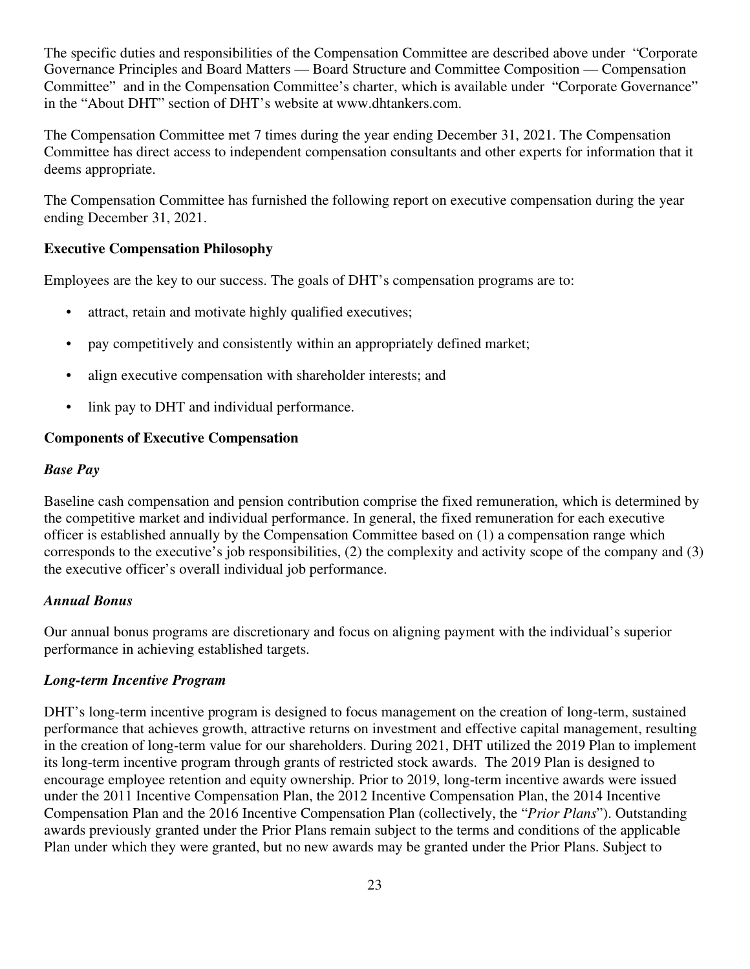The specific duties and responsibilities of the Compensation Committee are described above under "Corporate Governance Principles and Board Matters — Board Structure and Committee Composition — Compensation Committee" and in the Compensation Committee's charter, which is available under "Corporate Governance" in the "About DHT" section of DHT's website at www.dhtankers.com.

The Compensation Committee met 7 times during the year ending December 31, 2021. The Compensation Committee has direct access to independent compensation consultants and other experts for information that it deems appropriate.

The Compensation Committee has furnished the following report on executive compensation during the year ending December 31, 2021.

### **Executive Compensation Philosophy**

Employees are the key to our success. The goals of DHT's compensation programs are to:

- attract, retain and motivate highly qualified executives;
- pay competitively and consistently within an appropriately defined market;
- align executive compensation with shareholder interests; and
- link pay to DHT and individual performance.

#### **Components of Executive Compensation**

#### *Base Pay*

Baseline cash compensation and pension contribution comprise the fixed remuneration, which is determined by the competitive market and individual performance. In general, the fixed remuneration for each executive officer is established annually by the Compensation Committee based on (1) a compensation range which corresponds to the executive's job responsibilities, (2) the complexity and activity scope of the company and (3) the executive officer's overall individual job performance.

#### *Annual Bonus*

Our annual bonus programs are discretionary and focus on aligning payment with the individual's superior performance in achieving established targets.

### *Long-term Incentive Program*

DHT's long-term incentive program is designed to focus management on the creation of long-term, sustained performance that achieves growth, attractive returns on investment and effective capital management, resulting in the creation of long-term value for our shareholders. During 2021, DHT utilized the 2019 Plan to implement its long-term incentive program through grants of restricted stock awards. The 2019 Plan is designed to encourage employee retention and equity ownership. Prior to 2019, long-term incentive awards were issued under the 2011 Incentive Compensation Plan, the 2012 Incentive Compensation Plan, the 2014 Incentive Compensation Plan and the 2016 Incentive Compensation Plan (collectively, the "*Prior Plans*"). Outstanding awards previously granted under the Prior Plans remain subject to the terms and conditions of the applicable Plan under which they were granted, but no new awards may be granted under the Prior Plans. Subject to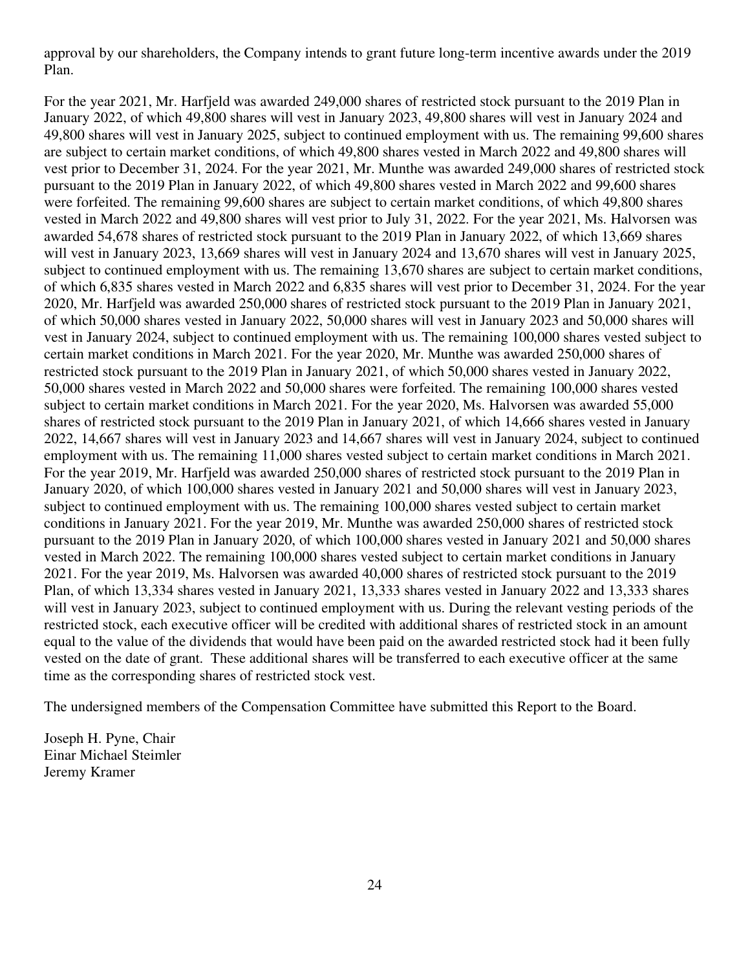approval by our shareholders, the Company intends to grant future long-term incentive awards under the 2019 Plan.

For the year 2021, Mr. Harfjeld was awarded 249,000 shares of restricted stock pursuant to the 2019 Plan in January 2022, of which 49,800 shares will vest in January 2023, 49,800 shares will vest in January 2024 and 49,800 shares will vest in January 2025, subject to continued employment with us. The remaining 99,600 shares are subject to certain market conditions, of which 49,800 shares vested in March 2022 and 49,800 shares will vest prior to December 31, 2024. For the year 2021, Mr. Munthe was awarded 249,000 shares of restricted stock pursuant to the 2019 Plan in January 2022, of which 49,800 shares vested in March 2022 and 99,600 shares were forfeited. The remaining 99,600 shares are subject to certain market conditions, of which 49,800 shares vested in March 2022 and 49,800 shares will vest prior to July 31, 2022. For the year 2021, Ms. Halvorsen was awarded 54,678 shares of restricted stock pursuant to the 2019 Plan in January 2022, of which 13,669 shares will vest in January 2023, 13,669 shares will vest in January 2024 and 13,670 shares will vest in January 2025, subject to continued employment with us. The remaining 13,670 shares are subject to certain market conditions, of which 6,835 shares vested in March 2022 and 6,835 shares will vest prior to December 31, 2024. For the year 2020, Mr. Harfjeld was awarded 250,000 shares of restricted stock pursuant to the 2019 Plan in January 2021, of which 50,000 shares vested in January 2022, 50,000 shares will vest in January 2023 and 50,000 shares will vest in January 2024, subject to continued employment with us. The remaining 100,000 shares vested subject to certain market conditions in March 2021. For the year 2020, Mr. Munthe was awarded 250,000 shares of restricted stock pursuant to the 2019 Plan in January 2021, of which 50,000 shares vested in January 2022, 50,000 shares vested in March 2022 and 50,000 shares were forfeited. The remaining 100,000 shares vested subject to certain market conditions in March 2021. For the year 2020, Ms. Halvorsen was awarded 55,000 shares of restricted stock pursuant to the 2019 Plan in January 2021, of which 14,666 shares vested in January 2022, 14,667 shares will vest in January 2023 and 14,667 shares will vest in January 2024, subject to continued employment with us. The remaining 11,000 shares vested subject to certain market conditions in March 2021. For the year 2019, Mr. Harfjeld was awarded 250,000 shares of restricted stock pursuant to the 2019 Plan in January 2020, of which 100,000 shares vested in January 2021 and 50,000 shares will vest in January 2023, subject to continued employment with us. The remaining 100,000 shares vested subject to certain market conditions in January 2021. For the year 2019, Mr. Munthe was awarded 250,000 shares of restricted stock pursuant to the 2019 Plan in January 2020, of which 100,000 shares vested in January 2021 and 50,000 shares vested in March 2022. The remaining 100,000 shares vested subject to certain market conditions in January 2021. For the year 2019, Ms. Halvorsen was awarded 40,000 shares of restricted stock pursuant to the 2019 Plan, of which 13,334 shares vested in January 2021, 13,333 shares vested in January 2022 and 13,333 shares will vest in January 2023, subject to continued employment with us. During the relevant vesting periods of the restricted stock, each executive officer will be credited with additional shares of restricted stock in an amount equal to the value of the dividends that would have been paid on the awarded restricted stock had it been fully vested on the date of grant. These additional shares will be transferred to each executive officer at the same time as the corresponding shares of restricted stock vest.

The undersigned members of the Compensation Committee have submitted this Report to the Board.

Joseph H. Pyne, Chair Einar Michael Steimler Jeremy Kramer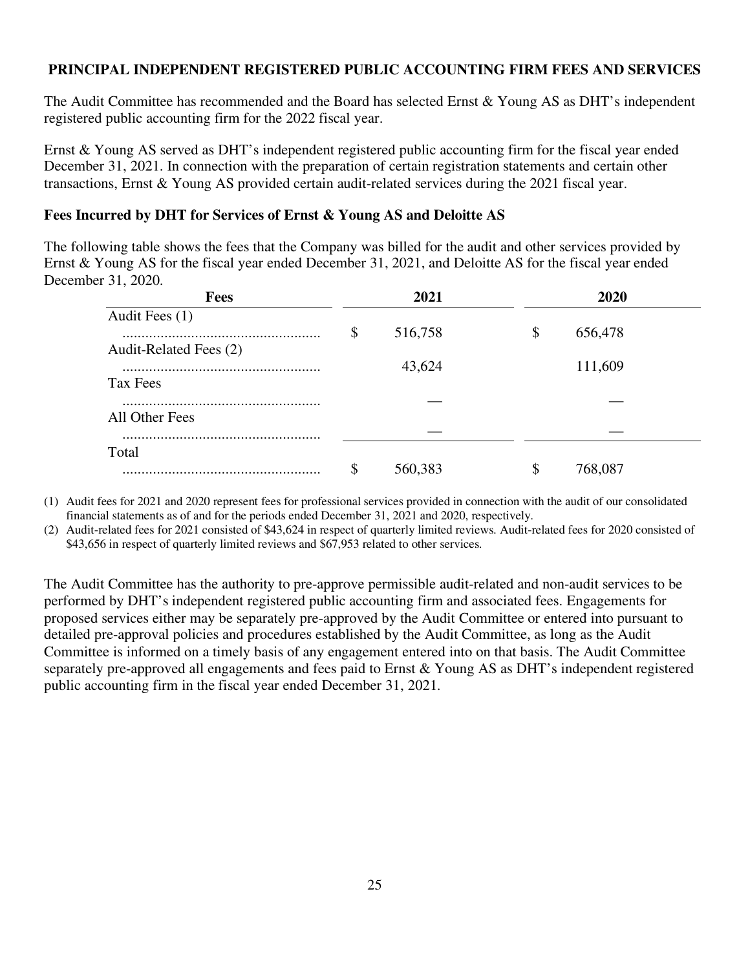## **PRINCIPAL INDEPENDENT REGISTERED PUBLIC ACCOUNTING FIRM FEES AND SERVICES**

The Audit Committee has recommended and the Board has selected Ernst & Young AS as DHT's independent registered public accounting firm for the 2022 fiscal year.

Ernst & Young AS served as DHT's independent registered public accounting firm for the fiscal year ended December 31, 2021. In connection with the preparation of certain registration statements and certain other transactions, Ernst & Young AS provided certain audit-related services during the 2021 fiscal year.

## **Fees Incurred by DHT for Services of Ernst & Young AS and Deloitte AS**

The following table shows the fees that the Company was billed for the audit and other services provided by Ernst & Young AS for the fiscal year ended December 31, 2021, and Deloitte AS for the fiscal year ended December 31, 2020.

| <b>Fees</b>            | 2021          | 2020          |  |
|------------------------|---------------|---------------|--|
| Audit Fees (1)         |               |               |  |
| Audit-Related Fees (2) | \$<br>516,758 | \$<br>656,478 |  |
| Tax Fees               | 43,624        | 111,609       |  |
|                        |               |               |  |
| All Other Fees         |               |               |  |
| Total                  |               |               |  |
|                        | \$<br>560,383 | \$<br>768,087 |  |

(1) Audit fees for 2021 and 2020 represent fees for professional services provided in connection with the audit of our consolidated financial statements as of and for the periods ended December 31, 2021 and 2020, respectively.

(2) Audit-related fees for 2021 consisted of \$43,624 in respect of quarterly limited reviews. Audit-related fees for 2020 consisted of \$43,656 in respect of quarterly limited reviews and \$67,953 related to other services.

The Audit Committee has the authority to pre-approve permissible audit-related and non-audit services to be performed by DHT's independent registered public accounting firm and associated fees. Engagements for proposed services either may be separately pre-approved by the Audit Committee or entered into pursuant to detailed pre-approval policies and procedures established by the Audit Committee, as long as the Audit Committee is informed on a timely basis of any engagement entered into on that basis. The Audit Committee separately pre-approved all engagements and fees paid to Ernst & Young AS as DHT's independent registered public accounting firm in the fiscal year ended December 31, 2021.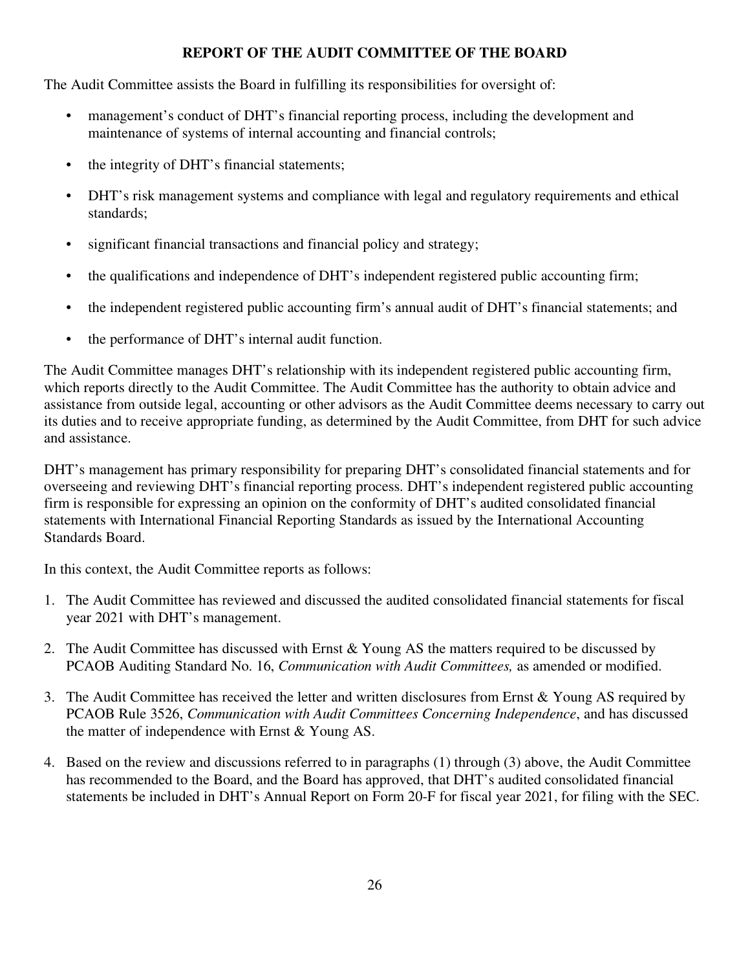# **REPORT OF THE AUDIT COMMITTEE OF THE BOARD**

The Audit Committee assists the Board in fulfilling its responsibilities for oversight of:

- management's conduct of DHT's financial reporting process, including the development and maintenance of systems of internal accounting and financial controls;
- the integrity of DHT's financial statements;
- DHT's risk management systems and compliance with legal and regulatory requirements and ethical standards;
- significant financial transactions and financial policy and strategy;
- the qualifications and independence of DHT's independent registered public accounting firm;
- the independent registered public accounting firm's annual audit of DHT's financial statements; and
- the performance of DHT's internal audit function.

The Audit Committee manages DHT's relationship with its independent registered public accounting firm, which reports directly to the Audit Committee. The Audit Committee has the authority to obtain advice and assistance from outside legal, accounting or other advisors as the Audit Committee deems necessary to carry out its duties and to receive appropriate funding, as determined by the Audit Committee, from DHT for such advice and assistance.

DHT's management has primary responsibility for preparing DHT's consolidated financial statements and for overseeing and reviewing DHT's financial reporting process. DHT's independent registered public accounting firm is responsible for expressing an opinion on the conformity of DHT's audited consolidated financial statements with International Financial Reporting Standards as issued by the International Accounting Standards Board.

In this context, the Audit Committee reports as follows:

- 1. The Audit Committee has reviewed and discussed the audited consolidated financial statements for fiscal year 2021 with DHT's management.
- 2. The Audit Committee has discussed with Ernst & Young AS the matters required to be discussed by PCAOB Auditing Standard No. 16, *Communication with Audit Committees,* as amended or modified.
- 3. The Audit Committee has received the letter and written disclosures from Ernst & Young AS required by PCAOB Rule 3526, *Communication with Audit Committees Concerning Independence*, and has discussed the matter of independence with Ernst & Young AS.
- 4. Based on the review and discussions referred to in paragraphs (1) through (3) above, the Audit Committee has recommended to the Board, and the Board has approved, that DHT's audited consolidated financial statements be included in DHT's Annual Report on Form 20-F for fiscal year 2021, for filing with the SEC.